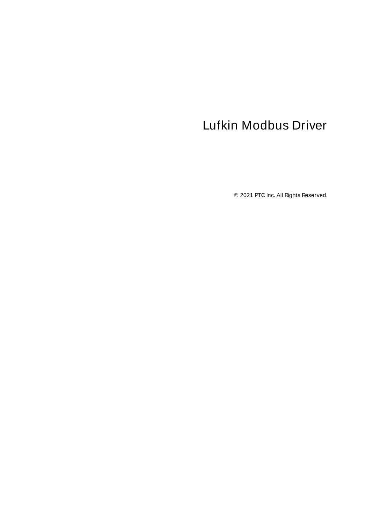# <span id="page-0-0"></span>Lufkin Modbus Driver

© 2021 PTC Inc. All Rights Reserved.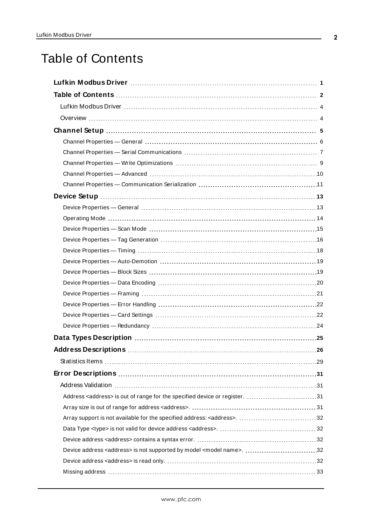# <span id="page-1-0"></span>Table of Contents

| Data Types Description manufacture and the USA of Data Types Description manufacture and the USA of Data Types |  |
|----------------------------------------------------------------------------------------------------------------|--|
|                                                                                                                |  |
|                                                                                                                |  |
|                                                                                                                |  |
|                                                                                                                |  |
| Address <address> is out of range for the specified device or register. 31</address>                           |  |
|                                                                                                                |  |
|                                                                                                                |  |
|                                                                                                                |  |
|                                                                                                                |  |
| Device address <address> is not supported by model <model name="">. 32</model></address>                       |  |
|                                                                                                                |  |
|                                                                                                                |  |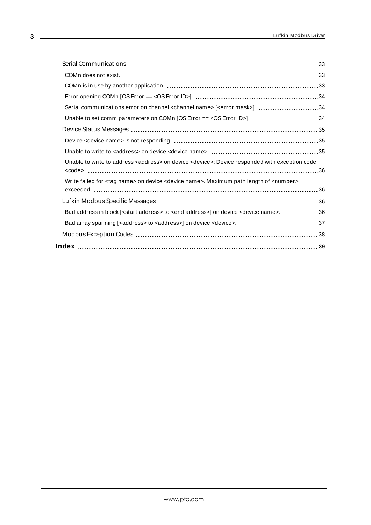| Serial communications error on channel <channel name=""> [<error mask="">]. 34</error></channel>                      |  |
|-----------------------------------------------------------------------------------------------------------------------|--|
| Unable to set comm parameters on COMn [OS Error == < OS Error ID>]. 34                                                |  |
|                                                                                                                       |  |
|                                                                                                                       |  |
|                                                                                                                       |  |
| Unable to write to address <address> on device <device>: Device responded with exception code</device></address>      |  |
|                                                                                                                       |  |
| Write failed for <tag name=""> on device <device name="">. Maximum path length of <number></number></device></tag>    |  |
|                                                                                                                       |  |
|                                                                                                                       |  |
| Bad address in block [ <start address=""> to <end address="">] on device <device name="">.  36</device></end></start> |  |
| Bad array spanning [ <address> to <address>] on device <device>. 37</device></address></address>                      |  |
|                                                                                                                       |  |
|                                                                                                                       |  |
|                                                                                                                       |  |

<u> 1989 - Johann Stoff, fransk politik (</u>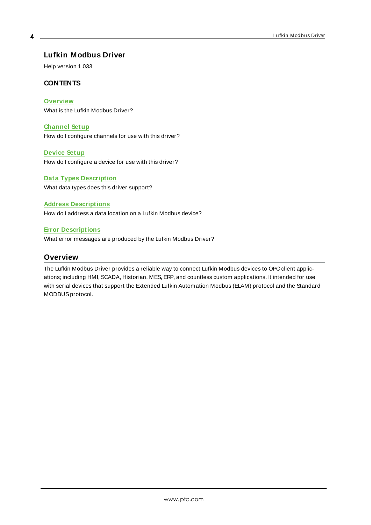## <span id="page-3-0"></span>**Lufkin Modbus Driver**

Help version 1.033

#### **CONTENTS**

#### **[Overview](#page-3-1)**

What is the Lufkin Modbus Driver?

#### **[Channel](#page-4-0) Setup**

How do I configure channels for use with this driver?

#### **[Device](#page-12-0) Setup**

How do I configure a device for use with this driver?

### **Data Types [Description](#page-24-0)** What data types does this driver support?

**Address [Descriptions](#page-25-0)**

#### How do I address a data location on a Lufkin Modbus device?

#### **Error [Descriptions](#page-30-0)**

<span id="page-3-1"></span>What error messages are produced by the Lufkin Modbus Driver?

### **Overview**

The Lufkin Modbus Driver provides a reliable way to connect Lufkin Modbus devices to OPC client applications; including HMI, SCADA, Historian, MES, ERP, and countless custom applications. It intended for use with serial devices that support the Extended Lufkin Automation Modbus (ELAM) protocol and the Standard MODBUS protocol.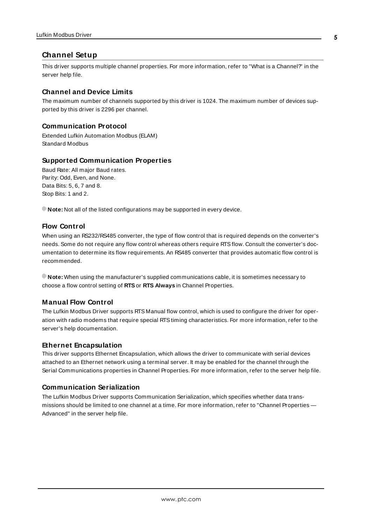## <span id="page-4-0"></span>**Channel Setup**

This driver supports multiple channel properties. For more information, refer to "What is a Channel?" in the server help file.

#### **Channel and Device Limits**

The maximum number of channels supported by this driver is 1024. The maximum number of devices supported by this driver is 2296 per channel.

#### **Communication Protocol**

Extended Lufkin Automation Modbus (ELAM) Standard Modbus

#### **Supported Communication Properties**

Baud Rate: All major Baud rates. Parity: Odd, Even, and None. Data Bits: 5, 6, 7 and 8. Stop Bits: 1 and 2.

**Note:** Not all of the listed configurations may be supported in every device.

#### **Flow Control**

When using an RS232/RS485 converter, the type of flow control that is required depends on the converter's needs. Some do not require any flow control whereas others require RTSflow. Consult the converter's documentation to determine its flow requirements. An RS485 converter that provides automatic flow control is recommended.

**Note:** When using the manufacturer's supplied communications cable, it is sometimes necessary to choose a flow control setting of **RTS**or **RTS Always** in Channel Properties.

#### **Manual Flow Control**

The Lufkin Modbus Driver supports RTS Manual flow control, which is used to configure the driver for operation with radio modems that require special RTStiming characteristics. For more information, refer to the server's help documentation.

#### <span id="page-4-1"></span>**Ethernet Encapsulation**

This driver supports Ethernet Encapsulation, which allows the driver to communicate with serial devices attached to an Ethernet network using a terminal server. It may be enabled for the channel through the Serial Communications properties in Channel Properties. For more information, refer to the server help file.

#### **Communication Serialization**

The Lufkin Modbus Driver supports Communication Serialization, which specifies whether data transmissions should be limited to one channel at a time. For more information, refer to "Channel Properties — Advanced" in the server help file.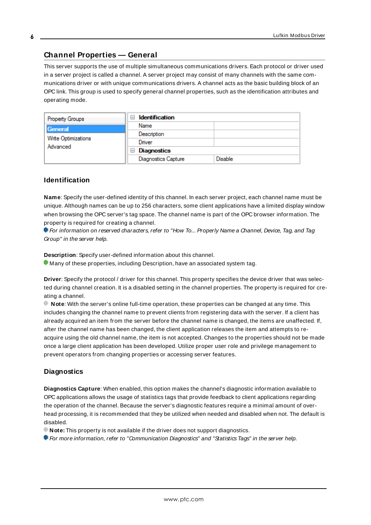# <span id="page-5-0"></span>**Channel Properties — General**

This server supports the use of multiple simultaneous communications drivers. Each protocol or driver used in a server project is called a channel. A server project may consist of many channels with the same communications driver or with unique communications drivers. A channel acts as the basic building block of an OPC link. This group is used to specify general channel properties, such as the identification attributes and operating mode.

| <b>Property Groups</b>                     | <b>Identification</b><br>-1             |                |
|--------------------------------------------|-----------------------------------------|----------------|
| General<br>Write Optimizations<br>Advanced | Name                                    |                |
|                                            | Description                             |                |
|                                            | Driver                                  |                |
|                                            | Diagnostics<br>$\overline{\phantom{a}}$ |                |
|                                            | <b>Diagnostics Capture</b>              | <b>Disable</b> |

### **Identification**

**Name**: Specify the user-defined identity of this channel. In each server project, each channel name must be unique. Although names can be up to 256 characters, some client applications have a limited display window when browsing the OPC server's tag space. The channel name is part of the OPC browser information. The property is required for creating a channel.

For information on reserved characters, refer to "How To... Properly Name a Channel, Device, Tag, and Tag Group" in the server help.

**Description**: Specify user-defined information about this channel.

Many of these properties, including Description, have an associated system tag.

**Driver**: Specify the protocol / driver for this channel. This property specifies the device driver that was selected during channel creation. It is a disabled setting in the channel properties. The property is required for creating a channel.

**Note**: With the server's online full-time operation, these properties can be changed at any time. This includes changing the channel name to prevent clients from registering data with the server. If a client has already acquired an item from the server before the channel name is changed, the items are unaffected. If, after the channel name has been changed, the client application releases the item and attempts to reacquire using the old channel name, the item is not accepted. Changes to the properties should not be made once a large client application has been developed. Utilize proper user role and privilege management to prevent operators from changing properties or accessing server features.

#### **Diagnostics**

**Diagnostics Capture**: When enabled, this option makes the channel's diagnostic information available to OPC applications allows the usage of statistics tags that provide feedback to client applications regarding the operation of the channel. Because the server's diagnostic features require a minimal amount of overhead processing, it is recommended that they be utilized when needed and disabled when not. The default is disabled.

**Note:** This property is not available if the driver does not support diagnostics.

**• For more information, refer to "Communication Diagnostics" and "Statistics Tags" in the server help.**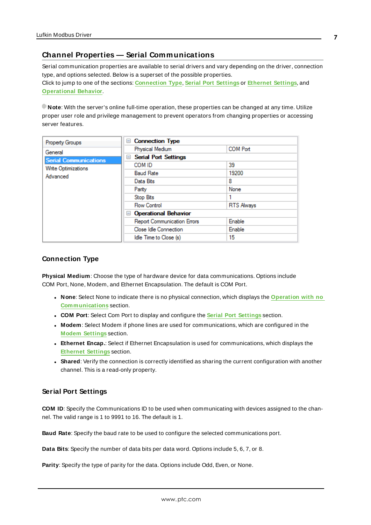# <span id="page-6-0"></span>**Channel Properties — Serial Communications**

Serial communication properties are available to serial drivers and vary depending on the driver, connection type, and options selected. Below is a superset of the possible properties. Click to jump to one of the sections: **[Connection](#page-6-1) Type**, **Serial Port [Settings](#page-6-2)** or **[Ethernet](#page-7-0) Settings**, and **[Operational](#page-7-1) Behavior**.

**Note**: With the server's online full-time operation, these properties can be changed at any time. Utilize proper user role and privilege management to prevent operators from changing properties or accessing server features.

| Property Groups              | <b>Connection Type</b><br>$\equiv$ |                   |
|------------------------------|------------------------------------|-------------------|
| General                      | Physical Medium                    | <b>COM Port</b>   |
| <b>Serial Communications</b> | <b>Serial Port Settings</b><br>$=$ |                   |
| Write Optimizations          | COM ID                             | 39                |
| Advanced                     | <b>Baud Rate</b>                   | 19200             |
|                              | Data Bits                          | 8                 |
|                              | Parity                             | None              |
|                              | Stop Bits                          |                   |
|                              | <b>Flow Control</b>                | <b>RTS Always</b> |
|                              | <b>Operational Behavior</b><br>н   |                   |
|                              | <b>Report Communication Errors</b> | Enable            |
|                              | Close Idle Connection              | Enable            |
|                              | Idle Time to Close (s)             | 15.               |

#### <span id="page-6-1"></span>**Connection Type**

**Physical Medium**: Choose the type of hardware device for data communications. Options include COM Port, None, Modem, and Ethernet Encapsulation. The default is COM Port.

- <sup>l</sup> **None**: Select None to indicate there is no physical connection, which displays the **[Operation](#page-8-1) with no [Communications](#page-8-1)** section.
- <sup>l</sup> **COM Port**: Select Com Port to display and configure the **Serial Port [Settings](#page-6-2)** section.
- **Modem**: Select Modem if phone lines are used for communications, which are configured in the **Modem [Settings](#page-8-2)** section.
- **Ethernet Encap.**: Select if Ethernet Encapsulation is used for communications, which displays the **[Ethernet](#page-7-0) Settings** section.
- **Shared**: Verify the connection is correctly identified as sharing the current configuration with another channel. This is a read-only property.

#### <span id="page-6-2"></span>**Serial Port Settings**

**COM ID**: Specify the Communications ID to be used when communicating with devices assigned to the channel. The valid range is 1 to 9991 to 16. The default is 1.

**Baud Rate**: Specify the baud rate to be used to configure the selected communications port.

**Data Bits**: Specify the number of data bits per data word. Options include 5, 6, 7, or 8.

**Parity**: Specify the type of parity for the data. Options include Odd, Even, or None.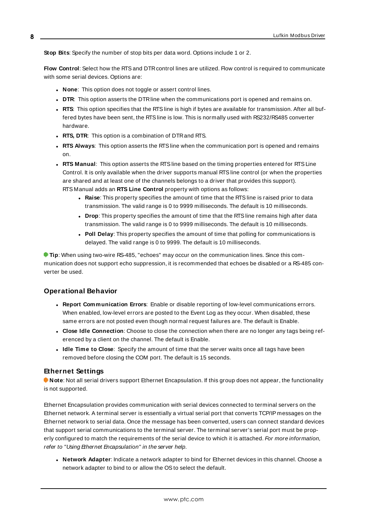**Stop Bits**: Specify the number of stop bits per data word. Options include 1 or 2.

**Flow Control**: Select how the RTSand DTRcontrol lines are utilized. Flow control is required to communicate with some serial devices. Options are:

- **None:** This option does not toggle or assert control lines.
- **DTR:** This option asserts the DTR line when the communications port is opened and remains on.
- **RTS:** This option specifies that the RTS line is high if bytes are available for transmission. After all buffered bytes have been sent, the RTSline is low. This is normally used with RS232/RS485 converter hardware.
- **RTS, DTR:** This option is a combination of DTR and RTS.
- <sup>l</sup> **RTS Always**: This option asserts the RTSline when the communication port is opened and remains on.
- <sup>l</sup> **RTS Manual**: This option asserts the RTSline based on the timing properties entered for RTSLine Control. It is only available when the driver supports manual RTSline control (or when the properties are shared and at least one of the channels belongs to a driver that provides this support). RTS Manual adds an **RTS Line Control** property with options as follows:
	- **Raise**: This property specifies the amount of time that the RTS line is raised prior to data transmission. The valid range is 0 to 9999 milliseconds. The default is 10 milliseconds.
	- **Drop**: This property specifies the amount of time that the RTS line remains high after data transmission. The valid range is 0 to 9999 milliseconds. The default is 10 milliseconds.
	- **Poll Delay**: This property specifies the amount of time that polling for communications is delayed. The valid range is 0 to 9999. The default is 10 milliseconds.

**Tip**: When using two-wire RS-485, "echoes" may occur on the communication lines. Since this communication does not support echo suppression, it is recommended that echoes be disabled or a RS-485 converter be used.

#### <span id="page-7-1"></span>**Operational Behavior**

- <sup>l</sup> **Report Communication Errors**: Enable or disable reporting of low-level communications errors. When enabled, low-level errors are posted to the Event Log as they occur. When disabled, these same errors are not posted even though normal request failures are. The default is Enable.
- <sup>l</sup> **Close Idle Connection**: Choose to close the connection when there are no longer any tags being referenced by a client on the channel. The default is Enable.
- <sup>l</sup> **Idle Time to Close**: Specify the amount of time that the server waits once all tags have been removed before closing the COM port. The default is 15 seconds.

#### <span id="page-7-0"></span>**Ethernet Settings**

**Note**: Not all serial drivers support Ethernet Encapsulation. If this group does not appear, the functionality is not supported.

Ethernet Encapsulation provides communication with serial devices connected to terminal servers on the Ethernet network. A terminal server is essentially a virtual serial port that converts TCP/IP messages on the Ethernet network to serial data. Once the message has been converted, users can connect standard devices that support serial communications to the terminal server. The terminal server's serial port must be properly configured to match the requirements of the serial device to which it is attached. For more information, refer to "Using Ethernet Encapsulation" in the server help.

**· Network Adapter**: Indicate a network adapter to bind for Ethernet devices in this channel. Choose a network adapter to bind to or allow the OSto select the default.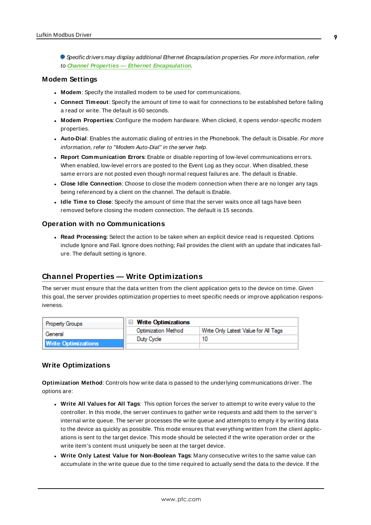Specific drivers may display additional Ethernet Encapsulation properties. For more information, refer to **Channel Properties — Ethernet Encapsulation**.

#### <span id="page-8-2"></span>**Modem Settings**

- **Modem**: Specify the installed modem to be used for communications.
- **Connect Timeout**: Specify the amount of time to wait for connections to be established before failing a read or write. The default is 60 seconds.
- <sup>l</sup> **Modem Properties**: Configure the modem hardware. When clicked, it opens vendor-specific modem properties.
- **Auto-Dial**: Enables the automatic dialing of entries in the Phonebook. The default is Disable. For more information, refer to "Modem Auto-Dial" in the server help.
- <sup>l</sup> **Report Communication Errors**: Enable or disable reporting of low-level communications errors. When enabled, low-level errors are posted to the Event Log as they occur. When disabled, these same errors are not posted even though normal request failures are. The default is Enable.
- **Close Idle Connection**: Choose to close the modem connection when there are no longer any tags being referenced by a client on the channel. The default is Enable.
- **.** Idle Time to Close: Specify the amount of time that the server waits once all tags have been removed before closing the modem connection. The default is 15 seconds.

#### <span id="page-8-1"></span>**Operation with no Communications**

**Read Processing**: Select the action to be taken when an explicit device read is requested. Options include Ignore and Fail. Ignore does nothing; Fail provides the client with an update that indicates failure. The default setting is Ignore.

#### <span id="page-8-0"></span>**Channel Properties — Write Optimizations**

The server must ensure that the data written from the client application gets to the device on time. Given this goal, the server provides optimization properties to meet specific needs or improve application responsiveness.

| <b>Property Groups</b>     | $\Box$ Write Optimizations |                                      |
|----------------------------|----------------------------|--------------------------------------|
| General                    | Optimization Method        | Write Only Latest Value for All Tags |
|                            | Duty Cycle                 |                                      |
| <b>Write Optimizations</b> |                            |                                      |

#### **Write Optimizations**

**Optimization Method**: Controls how write data is passed to the underlying communications driver. The options are:

- <sup>l</sup> **Write All Values for All Tags**: This option forces the server to attempt to write every value to the controller. In this mode, the server continues to gather write requests and add them to the server's internal write queue. The server processes the write queue and attempts to empty it by writing data to the device as quickly as possible. This mode ensures that everything written from the client applications is sent to the target device. This mode should be selected if the write operation order or the write item's content must uniquely be seen at the target device.
- <sup>l</sup> **Write Only Latest Value for Non-Boolean Tags**: Many consecutive writes to the same value can accumulate in the write queue due to the time required to actually send the data to the device. If the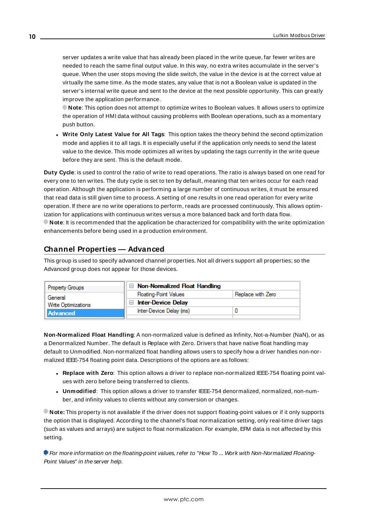server updates a write value that has already been placed in the write queue, far fewer writes are needed to reach the same final output value. In this way, no extra writes accumulate in the server's queue. When the user stops moving the slide switch, the value in the device is at the correct value at virtually the same time. As the mode states, any value that is not a Boolean value is updated in the server's internal write queue and sent to the device at the next possible opportunity. This can greatly improve the application performance.

**Note**: This option does not attempt to optimize writes to Boolean values. It allows users to optimize the operation of HMI data without causing problems with Boolean operations, such as a momentary push button.

<sup>l</sup> **Write Only Latest Value for All Tags**: This option takes the theory behind the second optimization mode and applies it to all tags. It is especially useful if the application only needs to send the latest value to the device. This mode optimizes all writes by updating the tags currently in the write queue before they are sent. This is the default mode.

**Duty Cycle**: is used to control the ratio of write to read operations. The ratio is always based on one read for every one to ten writes. The duty cycle is set to ten by default, meaning that ten writes occur for each read operation. Although the application is performing a large number of continuous writes, it must be ensured that read data is still given time to process. A setting of one results in one read operation for every write operation. If there are no write operations to perform, reads are processed continuously. This allows optimization for applications with continuous writes versus a more balanced back and forth data flow. **Note**: It is recommended that the application be characterized for compatibility with the write optimization enhancements before being used in a production environment.

# <span id="page-9-0"></span>**Channel Properties — Advanced**

This group is used to specify advanced channel properties. Not all drivers support all properties; so the Advanced group does not appear for those devices.

| Property Groups     | $\Box$ Non-Normalized Float Handling |                   |
|---------------------|--------------------------------------|-------------------|
| General             | <b>Floating-Point Values</b>         | Replace with Zero |
| Write Optimizations | <b>Inter-Device Delay</b>            |                   |
| Advanced            | Inter-Device Delay (ms)              |                   |
|                     |                                      |                   |

**Non-Normalized Float Handling**: A non-normalized value is defined as Infinity, Not-a-Number (NaN), or as a Denormalized Number. The default is Replace with Zero. Drivers that have native float handling may default to Unmodified. Non-normalized float handling allows users to specify how a driver handles non-normalized IEEE-754 floating point data. Descriptions of the options are as follows:

- <sup>l</sup> **Replace with Zero**: This option allows a driver to replace non-normalized IEEE-754 floating point values with zero before being transferred to clients.
- <sup>l</sup> **Unmodified**: This option allows a driver to transfer IEEE-754 denormalized, normalized, non-number, and infinity values to clients without any conversion or changes.

**Note:** This property is not available if the driver does not support floating-point values or if it only supports the option that is displayed. According to the channel's float normalization setting, only real-time driver tags (such as values and arrays) are subject to float normalization. For example, EFM data is not affected by this setting.

For more information on the floating-point values, refer to "How To ... Work with Non-Normalized Floating-Point Values" in the server help.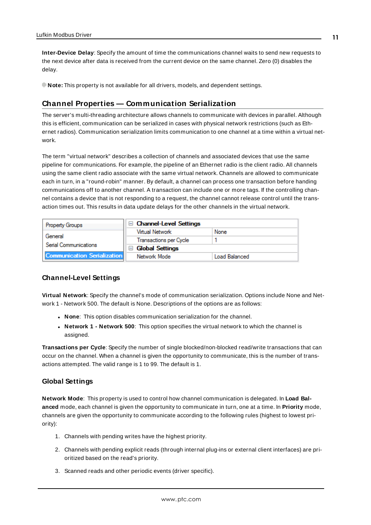**Inter-Device Delay**: Specify the amount of time the communications channel waits to send new requests to the next device after data is received from the current device on the same channel. Zero (0) disables the delay.

<span id="page-10-0"></span>**Note:** This property is not available for all drivers, models, and dependent settings.

## **Channel Properties — Communication Serialization**

The server's multi-threading architecture allows channels to communicate with devices in parallel. Although this is efficient, communication can be serialized in cases with physical network restrictions (such as Ethernet radios). Communication serialization limits communication to one channel at a time within a virtual network.

The term "virtual network" describes a collection of channels and associated devices that use the same pipeline for communications. For example, the pipeline of an Ethernet radio is the client radio. All channels using the same client radio associate with the same virtual network. Channels are allowed to communicate each in turn, in a "round-robin" manner. By default, a channel can process one transaction before handing communications off to another channel. A transaction can include one or more tags. If the controlling channel contains a device that is not responding to a request, the channel cannot release control until the transaction times out. This results in data update delays for the other channels in the virtual network.

| <b>Property Groups</b>             | $\Box$ Channel-Level Settings    |               |
|------------------------------------|----------------------------------|---------------|
|                                    | Virtual Network                  | None          |
| General                            | Transactions per Cycle           |               |
| Serial Communications              | <b>Global Settings</b><br>$\Box$ |               |
| <b>Communication Serialization</b> | Network Mode                     | Load Balanced |

#### **Channel-Level Settings**

**Virtual Network**: Specify the channel's mode of communication serialization. Options include None and Network 1 - Network 500. The default is None. Descriptions of the options are as follows:

- **None:** This option disables communication serialization for the channel.
- <sup>l</sup> **Network 1 - Network 500**: This option specifies the virtual network to which the channel is assigned.

**Transactions per Cycle**: Specify the number of single blocked/non-blocked read/write transactions that can occur on the channel. When a channel is given the opportunity to communicate, this is the number of transactions attempted. The valid range is 1 to 99. The default is 1.

#### **Global Settings**

**Network Mode**: This property is used to control how channel communication is delegated. In **Load Balanced** mode, each channel is given the opportunity to communicate in turn, one at a time. In **Priority** mode, channels are given the opportunity to communicate according to the following rules (highest to lowest priority):

- 1. Channels with pending writes have the highest priority.
- 2. Channels with pending explicit reads (through internal plug-ins or external client interfaces) are prioritized based on the read's priority.
- 3. Scanned reads and other periodic events (driver specific).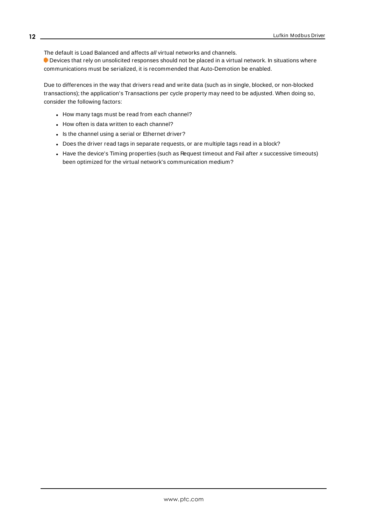The default is Load Balanced and affects all virtual networks and channels.

 Devices that rely on unsolicited responses should not be placed in a virtual network. In situations where communications must be serialized, it is recommended that Auto-Demotion be enabled.

Due to differences in the way that drivers read and write data (such as in single, blocked, or non-blocked transactions); the application's Transactions per cycle property may need to be adjusted. When doing so, consider the following factors:

- How many tags must be read from each channel?
- How often is data written to each channel?
- Is the channel using a serial or Ethernet driver?
- Does the driver read tags in separate requests, or are multiple tags read in a block?
- Have the device's Timing properties (such as Request timeout and Fail after  $x$  successive timeouts) been optimized for the virtual network's communication medium?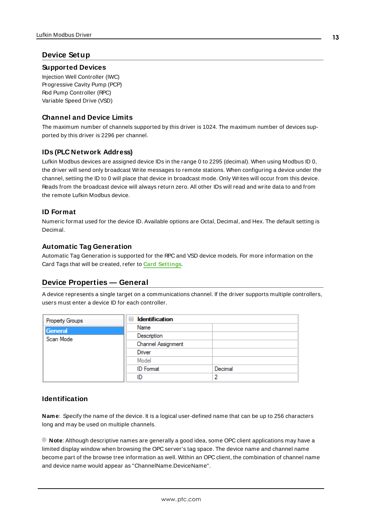# <span id="page-12-0"></span>**Device Setup**

#### **Supported Devices**

Injection Well Controller (IWC) Progressive Cavity Pump (PCP) Rod Pump Controller (RPC) Variable Speed Drive (VSD)

# **Channel and Device Limits**

The maximum number of channels supported by this driver is 1024. The maximum number of devices supported by this driver is 2296 per channel.

# <span id="page-12-2"></span>**IDs (PLC Network Address)**

Lufkin Modbus devices are assigned device IDs in the range 0 to 2295 (decimal). When using Modbus ID 0, the driver will send only broadcast Write messages to remote stations. When configuring a device under the channel, setting the ID to 0 will place that device in broadcast mode. Only Writes will occur from this device. Reads from the broadcast device will always return zero. All other IDs will read and write data to and from the remote Lufkin Modbus device.

### **ID Format**

Numeric format used for the device ID. Available options are Octal, Decimal, and Hex. The default setting is Decimal.

### **Automatic Tag Generation**

Automatic Tag Generation is supported for the RPC and VSD device models. For more information on the Card Tags that will be created, refer to **Card [Settings](#page-21-1)**.

# <span id="page-12-1"></span>**Device Properties — General**

A device represents a single target on a communications channel. If the driver supports multiple controllers, users must enter a device ID for each controller.

| Property Groups | <b>Identification</b><br>$=$ |         |
|-----------------|------------------------------|---------|
| General         | Name                         |         |
| Scan Mode       | Description                  |         |
|                 | Channel Assignment           |         |
|                 | Driver                       |         |
|                 | Model                        |         |
|                 | <b>ID</b> Format             | Decimal |
|                 | ID                           | 2       |

# <span id="page-12-3"></span>**Identification**

**Name**: Specify the name of the device. It is a logical user-defined name that can be up to 256 characters long and may be used on multiple channels.

**Note**: Although descriptive names are generally a good idea, some OPC client applications may have a limited display window when browsing the OPC server's tag space. The device name and channel name become part of the browse tree information as well. Within an OPC client, the combination of channel name and device name would appear as "ChannelName.DeviceName".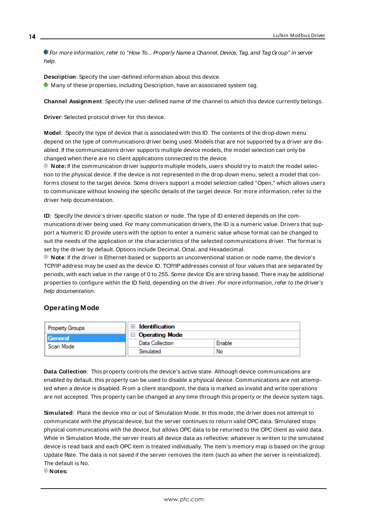For more information, refer to "How To... Properly Name a Channel, Device, Tag, and Tag Group" in server help.

**Description**: Specify the user-defined information about this device. **Many of these properties, including Description, have an associated system tag.** 

<span id="page-13-3"></span><span id="page-13-1"></span>**Channel Assignment**: Specify the user-defined name of the channel to which this device currently belongs.

<span id="page-13-5"></span>**Driver**: Selected protocol driver for this device.

**Model**: Specify the type of device that is associated with this ID. The contents of the drop-down menu depend on the type of communications driver being used. Models that are not supported by a driver are disabled. If the communications driver supports multiple device models, the model selection can only be changed when there are no client applications connected to the device.

**Note:** If the communication driver supports multiple models, users should try to match the model selection to the physical device. If the device is not represented in the drop-down menu, select a model that conforms closest to the target device. Some drivers support a model selection called "Open," which allows users to communicate without knowing the specific details of the target device. For more information, refer to the driver help documentation.

<span id="page-13-4"></span>**ID**: Specify the device's driver-specific station or node. The type of ID entered depends on the communications driver being used. For many communication drivers, the ID is a numeric value. Drivers that support a Numeric ID provide users with the option to enter a numeric value whose format can be changed to suit the needs of the application or the characteristics of the selected communications driver. The format is set by the driver by default. Options include Decimal, Octal, and Hexadecimal.

**Note**: If the driver is Ethernet-based or supports an unconventional station or node name, the device's TCP/IPaddress may be used as the device ID. TCP/IPaddresses consist of four values that are separated by periods, with each value in the range of 0 to 255. Some device IDs are string based. There may be additional properties to configure within the ID field, depending on the driver. For more information, refer to the driver's help documentation.

#### <span id="page-13-0"></span>**Operating Mode**

| Property Groups             | Identification                                                         |        |
|-----------------------------|------------------------------------------------------------------------|--------|
| <b>Seneral</b><br>Scan Mode | <b>Operating Mode</b><br>$\mathord{\hspace{1pt}\text{--}\hspace{1pt}}$ |        |
|                             | Data Collection                                                        | Enable |
|                             | Simulated                                                              | No     |

<span id="page-13-2"></span>**Data Collection**: This property controls the device's active state. Although device communications are enabled by default, this property can be used to disable a physical device. Communications are not attempted when a device is disabled. From a client standpoint, the data is marked as invalid and write operations are not accepted. This property can be changed at any time through this property or the device system tags.

<span id="page-13-6"></span>**Simulated**: Place the device into or out of Simulation Mode. In this mode, the driver does not attempt to communicate with the physical device, but the server continues to return valid OPC data. Simulated stops physical communications with the device, but allows OPC data to be returned to the OPC client as valid data. While in Simulation Mode, the server treats all device data as reflective: whatever is written to the simulated device is read back and each OPC item is treated individually. The item's memory map is based on the group Update Rate. The data is not saved if the server removes the item (such as when the server is reinitialized). The default is No.

**Notes:**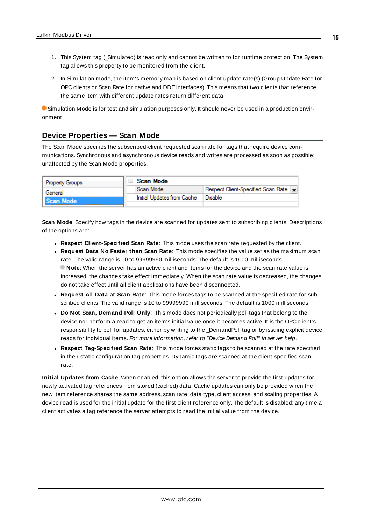- 1. This System tag (\_Simulated) is read only and cannot be written to for runtime protection. The System tag allows this property to be monitored from the client.
- 2. In Simulation mode, the item's memory map is based on client update rate(s) (Group Update Rate for OPC clients or Scan Rate for native and DDEinterfaces). This means that two clients that reference the same item with different update rates return different data.

 Simulation Mode is for test and simulation purposes only. It should never be used in a production environment.

# <span id="page-14-0"></span>**Device Properties — Scan Mode**

The Scan Mode specifies the subscribed-client requested scan rate for tags that require device communications. Synchronous and asynchronous device reads and writes are processed as soon as possible; unaffected by the Scan Mode properties.

| <b>Property Groups</b> | $\Box$ Scan Mode           |                                    |
|------------------------|----------------------------|------------------------------------|
| General                | Scan Mode                  | Respect Client-Specified Scan Rate |
| Il Scan Mode           | Initial Updates from Cache | Disable                            |
|                        |                            |                                    |

<span id="page-14-4"></span>**Scan Mode**: Specify how tags in the device are scanned for updates sent to subscribing clients. Descriptions of the options are:

- <sup>l</sup> **Respect Client-Specified Scan Rate**: This mode uses the scan rate requested by the client.
- <sup>l</sup> **Request Data No Faster than Scan Rate**: This mode specifies the value set as the maximum scan rate. The valid range is 10 to 99999990 milliseconds. The default is 1000 milliseconds. **Note**: When the server has an active client and items for the device and the scan rate value is increased, the changes take effect immediately. When the scan rate value is decreased, the changes do not take effect until all client applications have been disconnected.
- <sup>l</sup> **Request All Data at Scan Rate**: This mode forces tags to be scanned at the specified rate for subscribed clients. The valid range is 10 to 99999990 milliseconds. The default is 1000 milliseconds.
- <span id="page-14-1"></span><sup>l</sup> **Do Not Scan, Demand Poll Only**: This mode does not periodically poll tags that belong to the device nor perform a read to get an item's initial value once it becomes active. It is the OPC client's responsibility to poll for updates, either by writing to the \_DemandPoll tag or by issuing explicit device reads for individual items. For more information, refer to "Device Demand Poll" in server help.
- <span id="page-14-3"></span><sup>l</sup> **Respect Tag-Specified Scan Rate**: This mode forces static tags to be scanned at the rate specified in their static configuration tag properties. Dynamic tags are scanned at the client-specified scan rate.

<span id="page-14-2"></span>**Initial Updates from Cache**: When enabled, this option allows the server to provide the first updates for newly activated tag references from stored (cached) data. Cache updates can only be provided when the new item reference shares the same address, scan rate, data type, client access, and scaling properties. A device read is used for the initial update for the first client reference only. The default is disabled; any time a client activates a tag reference the server attempts to read the initial value from the device.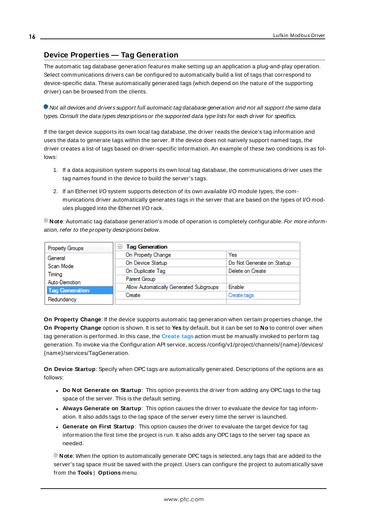# <span id="page-15-0"></span>**Device Properties — Tag Generation**

The automatic tag database generation features make setting up an application a plug-and-play operation. Select communications drivers can be configured to automatically build a list of tags that correspond to device-specific data. These automatically generated tags (which depend on the nature of the supporting driver) can be browsed from the clients.

Not all devices and drivers support full automatic tag database generation and not all support the same data types. Consult the data types descriptions or the supported data type lists for each driver for specifics.

If the target device supports its own local tag database, the driver reads the device's tag information and uses the data to generate tags within the server. If the device does not natively support named tags, the driver creates a list of tags based on driver-specific information. An example of these two conditions is as follows:

- 1. If a data acquisition system supports its own local tag database, the communications driver uses the tag names found in the device to build the server's tags.
- 2. If an Ethernet I/O system supports detection of its own available I/O module types, the communications driver automatically generates tags in the server that are based on the types of I/O modules plugged into the Ethernet I/O rack.

**Note**: Automatic tag database generation's mode of operation is completely configurable. For more information, refer to the property descriptions below.

| Property Groups       | <b>Tag Generation</b><br>н              |                            |
|-----------------------|-----------------------------------------|----------------------------|
| General               | On Property Change                      | Yes                        |
| Scan Mode             | On Device Startup                       | Do Not Generate on Startup |
| Timina                | On Duplicate Tag                        | Delete on Create           |
| Auto-Demotion         | Parent Group                            |                            |
| <b>Tag Generation</b> | Allow Automatically Generated Subgroups | <b>Enable</b>              |
|                       | Create                                  | Create tags                |
| Redundancy            |                                         |                            |

<span id="page-15-3"></span>**On Property Change**: If the device supports automatic tag generation when certain properties change, the **On Property Change** option is shown. It is set to **Yes** by default, but it can be set to **No** to control over when tag generation is performed. In this case, the **Create tags** action must be manually invoked to perform tag generation. To invoke via the Configuration API service, access /config/v1/project/channels/{name}/devices/ {name}/services/TagGeneration.

<span id="page-15-2"></span>**On Device Startup**: Specify when OPC tags are automatically generated. Descriptions of the options are as follows:

- <span id="page-15-1"></span><sup>l</sup> **Do Not Generate on Startup**: This option prevents the driver from adding any OPC tags to the tag space of the server. This is the default setting.
- <sup>l</sup> **Always Generate on Startup**: This option causes the driver to evaluate the device for tag information. It also adds tags to the tag space of the server every time the server is launched.
- <sup>l</sup> **Generate on First Startup**: This option causes the driver to evaluate the target device for tag information the first time the project is run. It also adds any OPC tags to the server tag space as needed.

**Note**: When the option to automatically generate OPC tags is selected, any tags that are added to the server's tag space must be saved with the project. Users can configure the project to automatically save from the **Tools** | **Options** menu.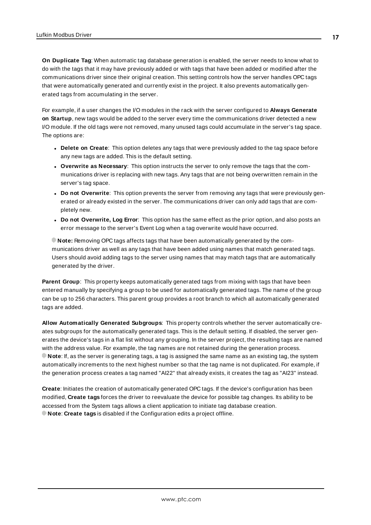<span id="page-16-3"></span>**On Duplicate Tag**: When automatic tag database generation is enabled, the server needs to know what to do with the tags that it may have previously added or with tags that have been added or modified after the communications driver since their original creation. This setting controls how the server handles OPC tags that were automatically generated and currently exist in the project. It also prevents automatically generated tags from accumulating in the server.

For example, if a user changes the I/O modules in the rack with the server configured to **Always Generate on Startup**, new tags would be added to the server every time the communications driver detected a new I/O module. If the old tags were not removed, many unused tags could accumulate in the server's tag space. The options are:

- <span id="page-16-2"></span>**.** Delete on Create: This option deletes any tags that were previously added to the tag space before any new tags are added. This is the default setting.
- <span id="page-16-4"></span><sup>l</sup> **Overwrite as Necessary**: This option instructs the server to only remove the tags that the communications driver is replacing with new tags. Any tags that are not being overwritten remain in the server's tag space.
- **.** Do not Overwrite: This option prevents the server from removing any tags that were previously generated or already existed in the server. The communications driver can only add tags that are completely new.
- <sup>l</sup> **Do not Overwrite, Log Error**: This option has the same effect as the prior option, and also posts an error message to the server's Event Log when a tag overwrite would have occurred.

**Note:** Removing OPC tags affects tags that have been automatically generated by the communications driver as well as any tags that have been added using names that match generated tags. Users should avoid adding tags to the server using names that may match tags that are automatically generated by the driver.

<span id="page-16-5"></span>**Parent Group**: This property keeps automatically generated tags from mixing with tags that have been entered manually by specifying a group to be used for automatically generated tags. The name of the group can be up to 256 characters. This parent group provides a root branch to which all automatically generated tags are added.

<span id="page-16-0"></span>**Allow Automatically Generated Subgroups**: This property controls whether the server automatically creates subgroups for the automatically generated tags. This is the default setting. If disabled, the server generates the device's tags in a flat list without any grouping. In the server project, the resulting tags are named with the address value. For example, the tag names are not retained during the generation process. **Note**: If, as the server is generating tags, a tag is assigned the same name as an existing tag, the system automatically increments to the next highest number so that the tag name is not duplicated. For example, if the generation process creates a tag named "AI22" that already exists, it creates the tag as "AI23" instead.

<span id="page-16-1"></span>**Create**: Initiates the creation of automatically generated OPC tags. If the device's configuration has been modified, **Create tags** forces the driver to reevaluate the device for possible tag changes. Its ability to be accessed from the System tags allows a client application to initiate tag database creation. **Note**: **Create tags** is disabled if the Configuration edits a project offline.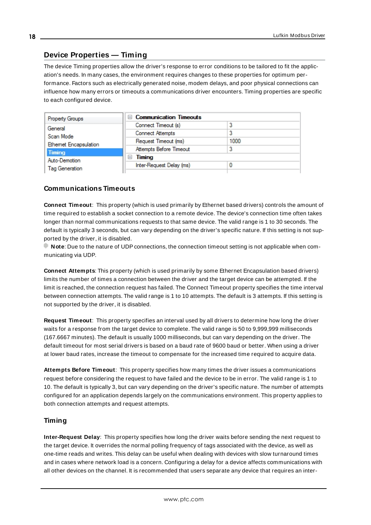# <span id="page-17-0"></span>**Device Properties — Timing**

The device Timing properties allow the driver's response to error conditions to be tailored to fit the application's needs. In many cases, the environment requires changes to these properties for optimum performance. Factors such as electrically generated noise, modem delays, and poor physical connections can influence how many errors or timeouts a communications driver encounters. Timing properties are specific to each configured device.

| <b>Property Groups</b>       | <b>Communication Timeouts</b><br>$-1$ |      |
|------------------------------|---------------------------------------|------|
| General                      | Connect Timeout (s)                   |      |
| Scan Mode                    | Connect Attempts                      | ء    |
| <b>Ethemet Encapsulation</b> | Request Timeout (ms)                  | 1000 |
| <b>Timing</b>                | Attempts Before Timeout               | ۰    |
| Auto-Demotion                | <b>Timing</b>                         |      |
| <b>Tag Generation</b>        | Inter-Request Delay (ms)              |      |
|                              |                                       |      |

# <span id="page-17-3"></span>**Communications Timeouts**

**Connect Timeout**: This property (which is used primarily by Ethernet based drivers) controls the amount of time required to establish a socket connection to a remote device. The device's connection time often takes longer than normal communications requests to that same device. The valid range is 1 to 30 seconds. The default is typically 3 seconds, but can vary depending on the driver's specific nature. If this setting is not supported by the driver, it is disabled.

**Note:** Due to the nature of UDP connections, the connection timeout setting is not applicable when communicating via UDP.

<span id="page-17-2"></span>**Connect Attempts**: This property (which is used primarily by some Ethernet Encapsulation based drivers) limits the number of times a connection between the driver and the target device can be attempted. If the limit is reached, the connection request has failed. The Connect Timeout property specifies the time interval between connection attempts. The valid range is 1 to 10 attempts. The default is 3 attempts. If this setting is not supported by the driver, it is disabled.

<span id="page-17-5"></span>**Request Timeout**: This property specifies an interval used by all drivers to determine how long the driver waits for a response from the target device to complete. The valid range is 50 to 9,999,999 milliseconds (167.6667 minutes). The default is usually 1000 milliseconds, but can vary depending on the driver. The default timeout for most serial drivers is based on a baud rate of 9600 baud or better. When using a driver at lower baud rates, increase the timeout to compensate for the increased time required to acquire data.

<span id="page-17-1"></span>**Attempts Before Timeout**: This property specifies how many times the driver issues a communications request before considering the request to have failed and the device to be in error. The valid range is 1 to 10. The default is typically 3, but can vary depending on the driver's specific nature. The number of attempts configured for an application depends largely on the communications environment. This property applies to both connection attempts and request attempts.

# <span id="page-17-4"></span>**Timing**

**Inter-Request Delay**: This property specifies how long the driver waits before sending the next request to the target device. It overrides the normal polling frequency of tags associated with the device, as well as one-time reads and writes. This delay can be useful when dealing with devices with slow turnaround times and in cases where network load is a concern. Configuring a delay for a device affects communications with all other devices on the channel. It is recommended that users separate any device that requires an inter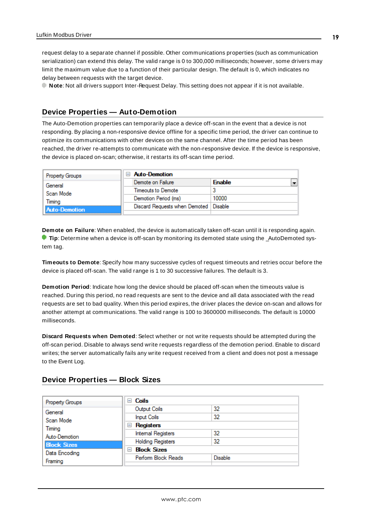request delay to a separate channel if possible. Other communications properties (such as communication serialization) can extend this delay. The valid range is 0 to 300,000 milliseconds; however, some drivers may limit the maximum value due to a function of their particular design. The default is 0, which indicates no delay between requests with the target device.

**Note**: Not all drivers support Inter-Request Delay. This setting does not appear if it is not available.

# <span id="page-18-0"></span>**Device Properties — Auto-Demotion**

The Auto-Demotion properties can temporarily place a device off-scan in the event that a device is not responding. By placing a non-responsive device offline for a specific time period, the driver can continue to optimize its communications with other devices on the same channel. After the time period has been reached, the driver re-attempts to communicate with the non-responsive device. If the device is responsive, the device is placed on-scan; otherwise, it restarts its off-scan time period.

| <b>Property Groups</b> | <b>Auto-Demotion</b>                    |               |  |
|------------------------|-----------------------------------------|---------------|--|
| General                | Demote on Failure                       | <b>Enable</b> |  |
| Scan Mode              | Timeouts to Demote                      | 3             |  |
| Timina                 | Demotion Period (ms)                    | 10000         |  |
| <b>Auto-Demotion</b>   | Discard Requests when Demoted   Disable |               |  |
|                        |                                         |               |  |

<span id="page-18-2"></span>**Demote on Failure**: When enabled, the device is automatically taken off-scan until it is responding again. **Tip**: Determine when a device is off-scan by monitoring its demoted state using the \_AutoDemoted system tag.

<span id="page-18-5"></span>**Timeouts to Demote**: Specify how many successive cycles of request timeouts and retries occur before the device is placed off-scan. The valid range is 1 to 30 successive failures. The default is 3.

<span id="page-18-3"></span>**Demotion Period**: Indicate how long the device should be placed off-scan when the timeouts value is reached. During this period, no read requests are sent to the device and all data associated with the read requests are set to bad quality. When this period expires, the driver places the device on-scan and allows for another attempt at communications. The valid range is 100 to 3600000 milliseconds. The default is 10000 milliseconds.

<span id="page-18-4"></span>**Discard Requests when Demoted**: Select whether or not write requests should be attempted during the off-scan period. Disable to always send write requests regardless of the demotion period. Enable to discard writes; the server automatically fails any write request received from a client and does not post a message to the Event Log.

#### <span id="page-18-1"></span>**Device Properties — Block Sizes**

| <b>Property Groups</b> | $\Box$ Coils              |                |
|------------------------|---------------------------|----------------|
| General                | Output Coils              | 32             |
| Scan Mode              | <b>Input Coils</b>        | 32             |
| Timing                 | $\Box$ Registers          |                |
| Auto-Demotion          | <b>Internal Registers</b> | 32             |
| <b>Block Sizes</b>     | <b>Holding Registers</b>  | 32             |
| Data Encoding          | <b>□ Block Sizes</b>      |                |
| Framing                | Perform Block Reads       | <b>Disable</b> |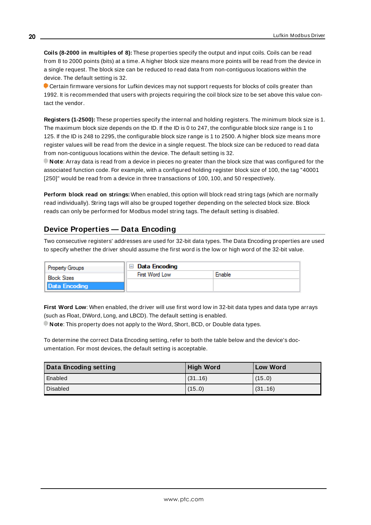**Coils (8-2000 in multiples of 8):** These properties specify the output and input coils. Coils can be read from 8 to 2000 points (bits) at a time. A higher block size means more points will be read from the device in a single request. The block size can be reduced to read data from non-contiguous locations within the device. The default setting is 32.

Certain firmware versions for Lufkin devices may not support requests for blocks of coils greater than 1992. It is recommended that users with projects requiring the coil block size to be set above this value contact the vendor.

**Registers (1-2500):** These properties specify the internal and holding registers. The minimum block size is 1. The maximum block size depends on the ID. If the ID is 0 to 247, the configurable block size range is 1 to 125. If the ID is 248 to 2295, the configurable block size range is 1 to 2500. A higher block size means more register values will be read from the device in a single request. The block size can be reduced to read data from non-contiguous locations within the device. The default setting is 32.

**Note**: Array data is read from a device in pieces no greater than the block size that was configured for the associated function code. For example, with a configured holding register block size of 100, the tag "40001 [250]" would be read from a device in three transactions of 100, 100, and 50 respectively.

**Perform block read on strings:** When enabled, this option will block read string tags (which are normally read individually). String tags will also be grouped together depending on the selected block size. Block reads can only be performed for Modbus model string tags. The default setting is disabled.

# <span id="page-19-0"></span>**Device Properties — Data Encoding**

Two consecutive registers' addresses are used for 32-bit data types. The Data Encoding properties are used to specify whether the driver should assume the first word is the low or high word of the 32-bit value.

| <b>Property Groups</b> | Data Encoding  |        |
|------------------------|----------------|--------|
| <b>Block Sizes</b>     | First Word Low | Fnable |
| Data Encoding          |                |        |

**First Word Low**: When enabled, the driver will use first word low in 32-bit data types and data type arrays (such as Float, DWord, Long, and LBCD). The default setting is enabled.

**Note**: This property does not apply to the Word, Short, BCD, or Double data types.

To determine the correct Data Encoding setting, refer to both the table below and the device's documentation. For most devices, the default setting is acceptable.

| Data Encoding setting | <b>High Word</b> | <b>Low Word</b> |
|-----------------------|------------------|-----------------|
| Enabled               | (3116)           | (15.0)          |
| Disabled              | (15.0)           | (3116)          |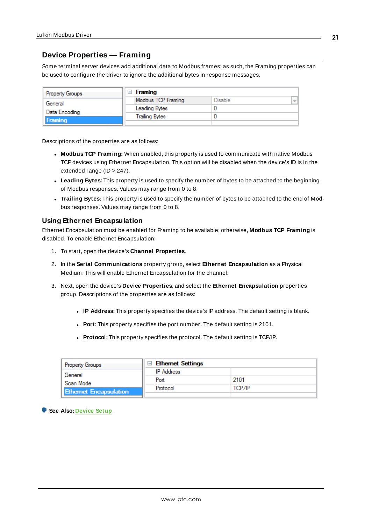# <span id="page-20-0"></span>**Device Properties — Framing**

Some terminal server devices add additional data to Modbus frames; as such, the Framing properties can be used to configure the driver to ignore the additional bytes in response messages.

| <b>Property Groups</b> | Framing<br>$\overline{ }$ |         |               |
|------------------------|---------------------------|---------|---------------|
| General                | Modbus TCP Framing        | Disable | $\frac{1}{2}$ |
| Data Encoding          | Leading Bytes             |         |               |
| Framing                | <b>Trailing Bytes</b>     |         |               |
|                        |                           |         |               |

Descriptions of the properties are as follows:

- <sup>l</sup> **Modbus TCP Framing:** When enabled, this property is used to communicate with native Modbus TCP devices using Ethernet Encapsulation. This option will be disabled when the device's ID is in the extended range (ID > 247).
- **Leading Bytes:** This property is used to specify the number of bytes to be attached to the beginning of Modbus responses. Values may range from 0 to 8.
- <sup>l</sup> **Trailing Bytes:** This property is used to specify the number of bytes to be attached to the end of Modbus responses. Values may range from 0 to 8.

#### **Using Ethernet Encapsulation**

Ethernet Encapsulation must be enabled for Framing to be available; otherwise, **Modbus TCP Framing** is disabled. To enable Ethernet Encapsulation:

- 1. To start, open the device's **Channel Properties**.
- 2. In the **Serial Communications** property group, select **Ethernet Encapsulation** as a Physical Medium. This will enable Ethernet Encapsulation for the channel.
- 3. Next, open the device's **Device Properties**, and select the **Ethernet Encapsulation** properties group. Descriptions of the properties are as follows:
	- **IP** Address: This property specifies the device's IP address. The default setting is blank.
	- **Port:** This property specifies the port number. The default setting is 2101.
	- **Protocol:** This property specifies the protocol. The default setting is TCP/IP.

| <b>Property Groups</b>                     | <b>□ Ethernet Settings</b> |        |
|--------------------------------------------|----------------------------|--------|
| General                                    | <b>IP</b> Address          |        |
| Scan Mode<br><b>Ethernet Encapsulation</b> | Port                       | 2101   |
|                                            | Protocol                   | ТСР/ІР |
|                                            |                            |        |

**See Also: [Device](#page-12-0) Setup**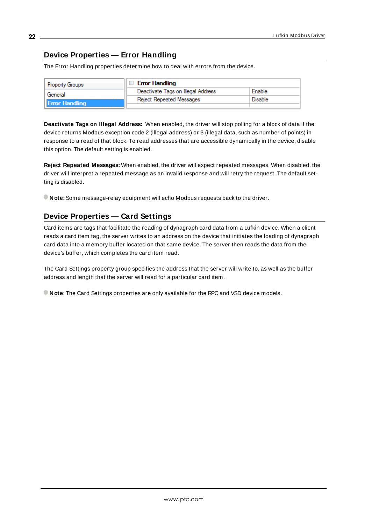# <span id="page-21-0"></span>**Device Properties — Error Handling**

The Error Handling properties determine how to deal with errors from the device.

| Property Groups       | <b>Error Handling</b>              |                |
|-----------------------|------------------------------------|----------------|
| General               | Deactivate Tags on Illegal Address | Enable         |
| <b>Error Handling</b> | Reject Repeated Messages           | <b>Disable</b> |
|                       |                                    |                |

**Deactivate Tags on Illegal Address:** When enabled, the driver will stop polling for a block of data if the device returns Modbus exception code 2 (illegal address) or 3 (illegal data, such as number of points) in response to a read of that block. To read addresses that are accessible dynamically in the device, disable this option. The default setting is enabled.

**Reject Repeated Messages:** When enabled, the driver will expect repeated messages. When disabled, the driver will interpret a repeated message as an invalid response and will retry the request. The default setting is disabled.

<span id="page-21-1"></span>**Note:** Some message-relay equipment will echo Modbus requests back to the driver.

# **Device Properties — Card Settings**

Card items are tags that facilitate the reading of dynagraph card data from a Lufkin device. When a client reads a card item tag, the server writes to an address on the device that initiates the loading of dynagraph card data into a memory buffer located on that same device. The server then reads the data from the device's buffer, which completes the card item read.

The Card Settings property group specifies the address that the server will write to, as well as the buffer address and length that the server will read for a particular card item.

**Note**: The Card Settings properties are only available for the RPC and VSD device models.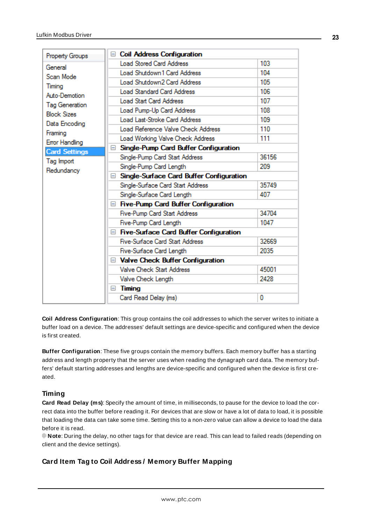| Property Groups                                          | □ Coil Address Configuration                  |       |
|----------------------------------------------------------|-----------------------------------------------|-------|
| General                                                  | <b>Load Stored Card Address</b>               | 103   |
| Scan Mode                                                | Load Shutdown 1 Card Address                  | 104   |
| Timing                                                   | Load Shutdown2 Card Address                   | 105   |
| Auto-Demotion                                            | <b>Load Standard Card Address</b>             | 106   |
| <b>Tag Generation</b>                                    | <b>Load Start Card Address</b>                | 107   |
| <b>Block Sizes</b>                                       | Load Pump-Up Card Address                     | 108   |
| Data Encoding                                            | Load Last-Stroke Card Address                 | 109   |
|                                                          | Load Reference Valve Check Address            | 110   |
| Framing                                                  | Load Working Valve Check Address              | 111   |
| Error Handling                                           | Single-Pump Card Buffer Configuration<br>E.   |       |
| <b>Card Settings</b>                                     | Single-Pump Card Start Address                | 36156 |
| Tag Import                                               | Single-Pump Card Length                       | 209   |
| Redundancy<br>□ Single-Surface Card Buffer Configuration |                                               |       |
|                                                          | Single-Surface Card Start Address             | 35749 |
|                                                          | Single-Surface Card Length                    | 407   |
|                                                          | Five-Pump Card Buffer Configuration           |       |
|                                                          | Five-Pump Card Start Address                  | 34704 |
|                                                          | Five-Pump Card Length                         | 1047  |
|                                                          | $\Box$ Five-Surface Card Buffer Configuration |       |
|                                                          | <b>Five-Surface Card Start Address</b>        | 32669 |
|                                                          | Five-Surface Card Length                      | 2035  |
|                                                          | □ Valve Check Buffer Configuration            |       |
|                                                          | Valve Check Start Address                     | 45001 |
|                                                          | Valve Check Length                            | 2428  |
|                                                          | Timing<br>Ξ                                   |       |
|                                                          | Card Read Delay (ms)                          | 0     |
|                                                          |                                               |       |

**Coil Address Configuration**: This group contains the coil addresses to which the server writes to initiate a buffer load on a device. The addresses' default settings are device-specific and configured when the device is first created.

**Buffer Configuration**: These five groups contain the memory buffers. Each memory buffer has a starting address and length property that the server uses when reading the dynagraph card data. The memory buffers' default starting addresses and lengths are device-specific and configured when the device is first created.

# **Timing**

**Card Read Delay (ms)**: Specify the amount of time, in milliseconds, to pause for the device to load the correct data into the buffer before reading it. For devices that are slow or have a lot of data to load, it is possible that loading the data can take some time. Setting this to a non-zero value can allow a device to load the data before it is read.

**Note**: During the delay, no other tags for that device are read. This can lead to failed reads (depending on client and the device settings).

# **Card Item Tag to Coil Address / Memory Buffer Mapping**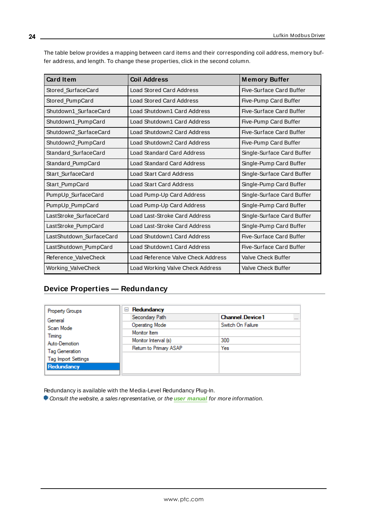| The table below provides a mapping between card items and their corresponding coil address, memory buf- |  |
|---------------------------------------------------------------------------------------------------------|--|
| fer address, and length. To change these properties, click in the second column.                        |  |

| <b>Card Item</b>         | <b>Coil Address</b>                | <b>Memory Buffer</b>            |
|--------------------------|------------------------------------|---------------------------------|
| Stored SurfaceCard       | <b>Load Stored Card Address</b>    | <b>Five-Surface Card Buffer</b> |
| Stored_PumpCard          | <b>Load Stored Card Address</b>    | Five-Pump Card Buffer           |
| Shutdown1 SurfaceCard    | Load Shutdown1 Card Address        | Five-Surface Card Buffer        |
| Shutdown1_PumpCard       | Load Shutdown1 Card Address        | Five-Pump Card Buffer           |
| Shutdown2 SurfaceCard    | Load Shutdown2 Card Address        | Five-Surface Card Buffer        |
| Shutdown2_PumpCard       | Load Shutdown2 Card Address        | Five-Pump Card Buffer           |
| Standard SurfaceCard     | Load Standard Card Address         | Single-Surface Card Buffer      |
| Standard PumpCard        | Load Standard Card Address         | Single-Pump Card Buffer         |
| Start SurfaceCard        | Load Start Card Address            | Single-Surface Card Buffer      |
| Start_PumpCard           | <b>Load Start Card Address</b>     | Single-Pump Card Buffer         |
| PumpUp_SurfaceCard       | Load Pump-Up Card Address          | Single-Surface Card Buffer      |
| PumpUp_PumpCard          | Load Pump-Up Card Address          | Single-Pump Card Buffer         |
| LastStroke_SurfaceCard   | Load Last-Stroke Card Address      | Single-Surface Card Buffer      |
| LastStroke_PumpCard      | Load Last-Stroke Card Address      | Single-Pump Card Buffer         |
| LastShutdown_SurfaceCard | Load Shutdown1 Card Address        | Five-Surface Card Buffer        |
| LastShutdown_PumpCard    | Load Shutdown1 Card Address        | Five-Surface Card Buffer        |
| Reference ValveCheck     | Load Reference Valve Check Address | <b>Valve Check Buffer</b>       |
| Working_ValveCheck       | Load Working Valve Check Address   | <b>Valve Check Buffer</b>       |

# <span id="page-23-0"></span>**Device Properties — Redundancy**

| <b>Property Groups</b>     | Redundancy<br>$=$      |                                    |
|----------------------------|------------------------|------------------------------------|
| General                    | Secondary Path         | <b>Channel Device1</b><br>$\cdots$ |
| Scan Mode                  | Operating Mode         | Switch On Failure                  |
| Timing                     | Monitor Item           |                                    |
| Auto-Demotion              | Monitor Interval (s)   | 300                                |
| <b>Tag Generation</b>      | Return to Primary ASAP | Yes                                |
| <b>Tag Import Settings</b> |                        |                                    |
| Redundancy                 |                        |                                    |

Redundancy is available with the Media-Level Redundancy Plug-In.

Consult the website, a sales representative, or the **user [manual](https://www.kepware.com/getattachment/35461efd-b53a-4219-a109-a89fad20b230/media-level-redundancy-manual.pdf)** for more information.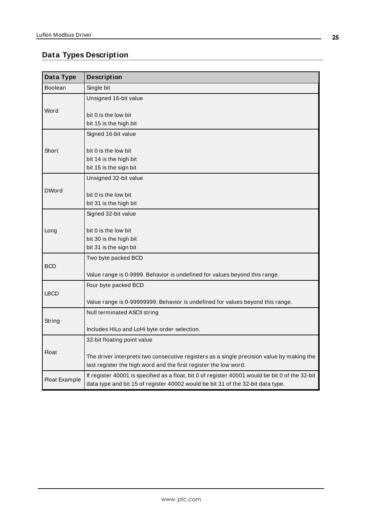# <span id="page-24-0"></span>**Data Types Description**

<span id="page-24-7"></span><span id="page-24-6"></span><span id="page-24-5"></span><span id="page-24-4"></span><span id="page-24-3"></span><span id="page-24-2"></span><span id="page-24-1"></span>

| Data Type            | <b>Description</b>                                                                                                                                                                 |
|----------------------|------------------------------------------------------------------------------------------------------------------------------------------------------------------------------------|
| <b>Boolean</b>       | Single bit                                                                                                                                                                         |
|                      | Unsigned 16-bit value                                                                                                                                                              |
| Word                 | bit 0 is the low bit<br>bit 15 is the high bit                                                                                                                                     |
|                      | Signed 16-bit value                                                                                                                                                                |
| Short                | bit 0 is the low bit<br>bit 14 is the high bit<br>bit 15 is the sign bit                                                                                                           |
|                      | Unsigned 32-bit value                                                                                                                                                              |
| <b>DWord</b>         | bit 0 is the low bit<br>bit 31 is the high bit                                                                                                                                     |
|                      | Signed 32-bit value                                                                                                                                                                |
| Long                 | bit 0 is the low bit<br>bit 30 is the high bit<br>bit 31 is the sign bit                                                                                                           |
|                      | Two byte packed BCD                                                                                                                                                                |
| <b>BCD</b>           | Value range is 0-9999. Behavior is undefined for values beyond this range.                                                                                                         |
| <b>LBCD</b>          | Four byte packed BCD                                                                                                                                                               |
|                      | Value range is 0-99999999. Behavior is undefined for values beyond this range.                                                                                                     |
|                      | Null terminated ASCII string                                                                                                                                                       |
| String               | Includes HiLo and LoHi byte order selection.                                                                                                                                       |
|                      | 32-bit floating point value                                                                                                                                                        |
| <b>Float</b>         | The driver interprets two consecutive registers as a single precision value by making the<br>last register the high word and the first register the low word.                      |
| <b>Float Example</b> | If register 40001 is specified as a float, bit 0 of register 40001 would be bit 0 of the 32-bit<br>data type and bit 15 of register 40002 would be bit 31 of the 32-bit data type. |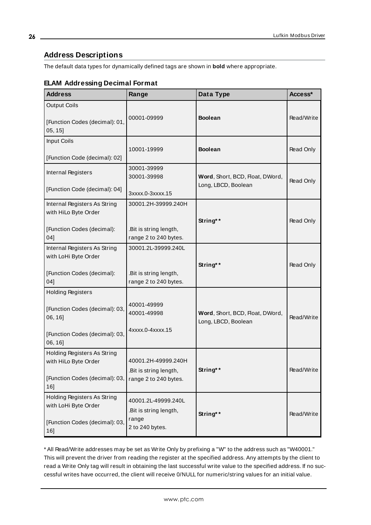# <span id="page-25-0"></span>**Address Descriptions**

The default data types for dynamically defined tags are shown in **bold** where appropriate.

| <b>Address</b>                                                                        | Range                                                  | Data Type                                              | Access*    |  |
|---------------------------------------------------------------------------------------|--------------------------------------------------------|--------------------------------------------------------|------------|--|
| <b>Output Coils</b><br>[Function Codes (decimal): 01,<br>$05, 15$ ]                   | 00001-09999                                            | <b>Boolean</b>                                         | Read/Write |  |
| <b>Input Coils</b><br>[Function Code (decimal): 02]                                   | 10001-19999                                            | <b>Boolean</b>                                         | Read Only  |  |
| Internal Registers<br>[Function Code (decimal): 04]                                   | 30001-39999<br>30001-39998                             | Word, Short, BCD, Float, DWord,<br>Long, LBCD, Boolean | Read Only  |  |
| Internal Registers As String<br>with HiLo Byte Order                                  | 3xxxx.0-3xxxx.15<br>30001.2H-39999.240H                |                                                        |            |  |
| [Function Codes (decimal):<br>041                                                     | .Bit is string length,<br>range 2 to 240 bytes.        | String**                                               | Read Only  |  |
| Internal Registers As String<br>with LoHi Byte Order                                  | 30001.2L-39999.240L                                    | String**                                               | Read Only  |  |
| [Function Codes (decimal):<br>041                                                     | .Bit is string length,<br>range 2 to 240 bytes.        |                                                        |            |  |
| <b>Holding Registers</b><br>[Function Codes (decimal): 03,<br>06, 16]                 | 40001-49999<br>40001-49998                             | Word, Short, BCD, Float, DWord,<br>Long, LBCD, Boolean | Read/Write |  |
| [Function Codes (decimal): 03,<br>06, 16]                                             | 4xxxx.0-4xxxx.15                                       |                                                        |            |  |
| Holding Registers As String<br>with HiLo Byte Order                                   | 40001.2H-49999.240H<br>.Bit is string length,          | String**                                               | Read/Write |  |
| [Function Codes (decimal): 03,<br>$16$ ]                                              | range 2 to 240 bytes.                                  |                                                        |            |  |
| Holding Registers As String<br>with LoHi Byte Order<br>[Function Codes (decimal): 03, | 40001.2L-49999.240L<br>.Bit is string length,<br>range | String**                                               | Read/Write |  |
| 16]                                                                                   | 2 to 240 bytes.                                        |                                                        |            |  |

# **ELAM Addressing Decimal Format**

\* All Read/Write addresses may be set as Write Only by prefixing a "W" to the address such as "W40001." This will prevent the driver from reading the register at the specified address. Any attempts by the client to read a Write Only tag will result in obtaining the last successful write value to the specified address. If no successful writes have occurred, the client will receive 0/NULL for numeric/string values for an initial value.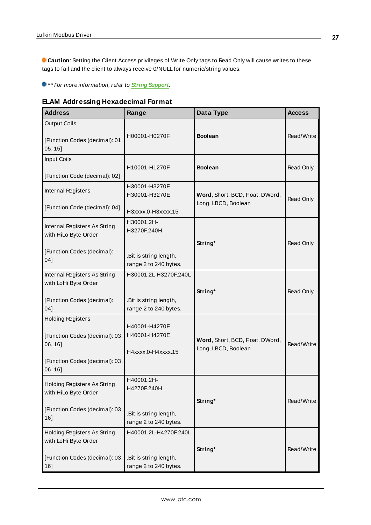**Caution**: Setting the Client Access privileges of Write Only tags to Read Only will cause writes to these tags to fail and the client to always receive 0/NULL for numeric/string values.

\* \* For more information, refer to **String [Support](#page-27-0)**.

**ELAM Addressing Hexadecimal Format**

| <b>Address</b>                                        | Range                            | Data Type                                              | <b>Access</b> |
|-------------------------------------------------------|----------------------------------|--------------------------------------------------------|---------------|
| <b>Output Coils</b><br>[Function Codes (decimal): 01, | H00001-H0270F                    | <b>Boolean</b>                                         | Read/Write    |
| 05, 15]                                               |                                  |                                                        |               |
| Input Coils                                           |                                  | <b>Boolean</b>                                         |               |
| [Function Code (decimal): 02]                         | H10001-H1270F                    |                                                        | Read Only     |
| Internal Registers                                    | H30001-H3270F<br>H30001-H3270E   | Word, Short, BCD, Float, DWord,                        |               |
| [Function Code (decimal): 04]                         |                                  | Long, LBCD, Boolean                                    | Read Only     |
|                                                       | H3xxxx.0-H3xxxx.15<br>H30001.2H- |                                                        |               |
| Internal Registers As String<br>with HiLo Byte Order  | H3270F.240H                      |                                                        |               |
|                                                       |                                  | String*                                                | Read Only     |
| [Function Codes (decimal):                            | .Bit is string length,           |                                                        |               |
| 04]                                                   | range 2 to 240 bytes.            |                                                        |               |
| Internal Registers As String<br>with LoHi Byte Order  | H30001.2L-H3270F.240L            |                                                        |               |
|                                                       |                                  | String*                                                | Read Only     |
| [Function Codes (decimal):                            | .Bit is string length,           |                                                        |               |
| 04]                                                   | range 2 to 240 bytes.            |                                                        |               |
| <b>Holding Registers</b>                              | H40001-H4270F                    |                                                        |               |
| [Function Codes (decimal): 03,                        | H40001-H4270E                    |                                                        |               |
| 06, 16]                                               | H4xxxx.0-H4xxxx.15               | Word, Short, BCD, Float, DWord,<br>Long, LBCD, Boolean | Read/Write    |
| [Function Codes (decimal): 03,                        |                                  |                                                        |               |
| 06, 16]                                               |                                  |                                                        |               |
| Holding Registers As String                           | H40001.2H-                       |                                                        |               |
| with HiLo Byte Order                                  | H4270F.240H                      |                                                        |               |
|                                                       |                                  | String*                                                | Read/Write    |
| [Function Codes (decimal): 03,<br>16]                 | .Bit is string length,           |                                                        |               |
|                                                       | range 2 to 240 bytes.            |                                                        |               |
| Holding Registers As String<br>with LoHi Byte Order   | H40001.2L-H4270F.240L            |                                                        |               |
|                                                       |                                  | String*                                                | Read/Write    |
| [Function Codes (decimal): 03,                        | .Bit is string length,           |                                                        |               |
| 16]                                                   | range 2 to 240 bytes.            |                                                        |               |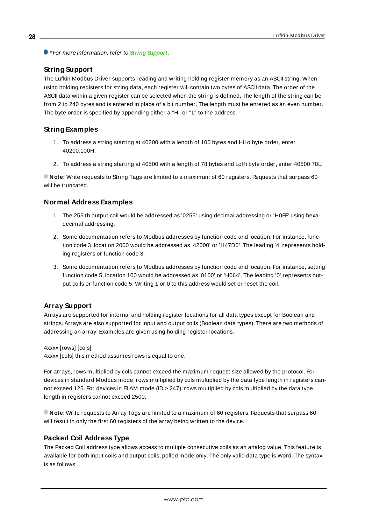<span id="page-27-0"></span>\* For more information, refer to **String [Support](#page-27-0)**.

# **String Support**

The Lufkin Modbus Driver supports reading and writing holding register memory as an ASCII string. When using holding registers for string data, each register will contain two bytes of ASCII data. The order of the ASCII data within a given register can be selected when the string is defined. The length of the string can be from 2 to 240 bytes and is entered in place of a bit number. The length must be entered as an even number. The byte order is specified by appending either a "H" or "L" to the address.

## **String Examples**

- 1. To address a string starting at 40200 with a length of 100 bytes and HiLo byte order, enter 40200.100H.
- 2. To address a string starting at 40500 with a length of 78 bytes and LoHi byte order, enter 40500.78L.

**Note:** Write requests to String Tags are limited to a maximum of 60 registers. Requests that surpass 60 will be truncated.

### **Normal Address Examples**

- 1. The 255'th output coil would be addressed as '0255' using decimal addressing or 'H0FF' using hexadecimal addressing.
- 2. Some documentation refers to Modbus addresses by function code and location. For instance, function code 3, location 2000 would be addressed as '42000' or 'H47D0'. The leading '4' represents holding registers or function code 3.
- 3. Some documentation refers to Modbus addresses by function code and location. For instance, setting function code 5, location 100 would be addressed as '0100' or 'H064'. The leading '0' represents output coils or function code 5. Writing 1 or 0 to this address would set or reset the coil.

# **Array Support**

Arrays are supported for internal and holding register locations for all data types except for Boolean and strings. Arrays are also supported for input and output coils (Boolean data types). There are two methods of addressing an array. Examples are given using holding register locations.

4xxxx [rows] [cols]

4xxxx [cols] this method assumes rows is equal to one.

For arrays, rows multiplied by cols cannot exceed the maximum request size allowed by the protocol. For devices in standard Modbus mode, rows multiplied by cols multiplied by the data type length in registers cannot exceed 125. For devices in ELAM mode (ID > 247), rows multiplied by cols multiplied by the data type length in registers cannot exceed 2500.

**Note**: Write requests to Array Tags are limited to a maximum of 60 registers. Requests that surpass 60 will result in only the first 60 registers of the array being written to the device.

#### **Packed Coil Address Type**

The Packed Coil address type allows access to multiple consecutive coils as an analog value. This feature is available for both input coils and output coils, polled mode only. The only valid data type is Word. The syntax is as follows: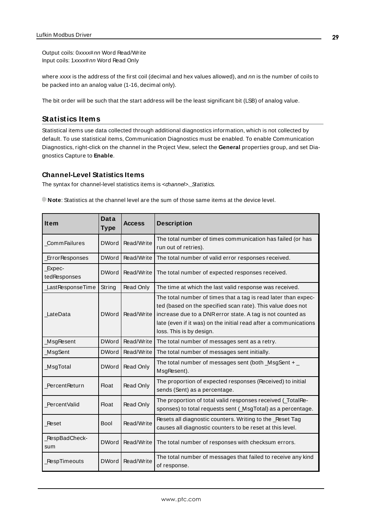Output coils: 0xxxx#nn Word Read/Write Input coils: 1xxxx#nn Word Read Only

where xxxx is the address of the first coil (decimal and hex values allowed), and nn is the number of coils to be packed into an analog value (1-16, decimal only).

<span id="page-28-0"></span>The bit order will be such that the start address will be the least significant bit (LSB) of analog value.

# **Statistics Items**

Statistical items use data collected through additional diagnostics information, which is not collected by default. To use statistical items, Communication Diagnostics must be enabled. To enable Communication Diagnostics, right-click on the channel in the Project View, select the **General** properties group, and set Diagnostics Capture to **Enable**.

#### **Channel-Level Statistics Items**

The syntax for channel-level statistics items is <channel>.\_Statistics.

**Note**: Statistics at the channel level are the sum of those same items at the device level.

| <b>Item</b>            | <b>Data</b><br><b>Type</b> | <b>Access</b>    | <b>Description</b>                                                                                                                                                                                                                                                                          |  |
|------------------------|----------------------------|------------------|---------------------------------------------------------------------------------------------------------------------------------------------------------------------------------------------------------------------------------------------------------------------------------------------|--|
| <b>CommFailures</b>    | <b>DWord</b>               | Read/Write       | The total number of times communication has failed (or has<br>run out of retries).                                                                                                                                                                                                          |  |
| ErrorResponses         | <b>DWord</b>               | Read/Write       | The total number of valid error responses received.                                                                                                                                                                                                                                         |  |
| Expec-<br>tedResponses | <b>DWord</b>               | Read/Write       | The total number of expected responses received.                                                                                                                                                                                                                                            |  |
| LastResponseTime       | String                     | <b>Read Only</b> | The time at which the last valid response was received.                                                                                                                                                                                                                                     |  |
| LateData               | <b>DWord</b>               | Read/Write       | The total number of times that a tag is read later than expec-<br>ted (based on the specified scan rate). This value does not<br>increase due to a DNR error state. A tag is not counted as<br>late (even if it was) on the initial read after a communications<br>loss. This is by design. |  |
| MsgResent              | <b>DWord</b>               | Read/Write       | The total number of messages sent as a retry.                                                                                                                                                                                                                                               |  |
| MsgSent                | <b>DWord</b>               | Read/Write       | The total number of messages sent initially.                                                                                                                                                                                                                                                |  |
| _MsgTotal              | <b>DWord</b>               | Read Only        | The total number of messages sent (both $_$ MsgSent + $_$<br>MsgResent).                                                                                                                                                                                                                    |  |
| PercentReturn          | <b>Float</b>               | Read Only        | The proportion of expected responses (Received) to initial<br>sends (Sent) as a percentage.                                                                                                                                                                                                 |  |
| PercentValid           | <b>Float</b>               | <b>Read Only</b> | The proportion of total valid responses received (_TotalRe-<br>sponses) to total requests sent (_MsgTotal) as a percentage.                                                                                                                                                                 |  |
| Reset                  | <b>Bool</b>                | Read/Write       | Resets all diagnostic counters. Writing to the _Reset Tag<br>causes all diagnostic counters to be reset at this level.                                                                                                                                                                      |  |
| _RespBadCheck-<br>sum  | <b>DWord</b>               | Read/Write       | The total number of responses with checksum errors.                                                                                                                                                                                                                                         |  |
| _RespTimeouts          | <b>DWord</b>               | Read/Write       | The total number of messages that failed to receive any kind<br>of response.                                                                                                                                                                                                                |  |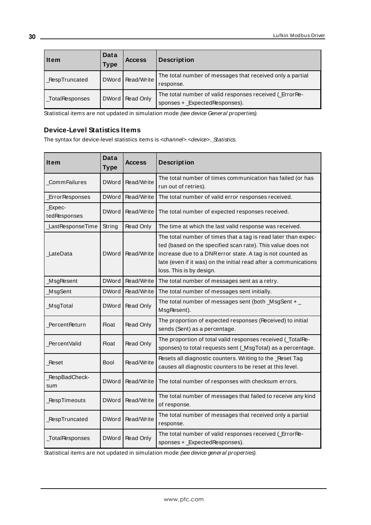| Item            | Data<br>Type | <b>Access</b>      | <b>Description</b>                                                                       |
|-----------------|--------------|--------------------|------------------------------------------------------------------------------------------|
| RespTruncated   |              | DWord   Read/Write | The total number of messages that received only a partial<br>response.                   |
| _TotalResponses |              | DWord   Read Only  | The total number of valid responses received (ErrorRe-<br>sponses + _ExpectedResponses). |

Statistical items are not updated in simulation mode (see device General properties).

## **Device-Level Statistics Items**

The syntax for device-level statistics items is <channel>.<device>.\_Statistics.

| Item                   | <b>Data</b><br><b>Type</b> | <b>Access</b>    | <b>Description</b>                                                                                                                                                                                                                                                                          |  |
|------------------------|----------------------------|------------------|---------------------------------------------------------------------------------------------------------------------------------------------------------------------------------------------------------------------------------------------------------------------------------------------|--|
| <b>CommFailures</b>    | <b>DWord</b>               | Read/Write       | The total number of times communication has failed (or has<br>run out of retries).                                                                                                                                                                                                          |  |
| <b>ErrorResponses</b>  | <b>DWord</b>               | Read/Write       | The total number of valid error responses received.                                                                                                                                                                                                                                         |  |
| Expec-<br>tedResponses | <b>DWord</b>               | Read/Write       | The total number of expected responses received.                                                                                                                                                                                                                                            |  |
| LastResponseTime       | String                     | Read Only        | The time at which the last valid response was received.                                                                                                                                                                                                                                     |  |
| LateData               | <b>DWord</b>               | Read/Write       | The total number of times that a tag is read later than expec-<br>ted (based on the specified scan rate). This value does not<br>increase due to a DNR error state. A tag is not counted as<br>late (even if it was) on the initial read after a communications<br>loss. This is by design. |  |
| MsgResent              | <b>DWord</b>               | Read/Write       | The total number of messages sent as a retry.                                                                                                                                                                                                                                               |  |
| MsgSent                | <b>DWord</b>               | Read/Write       | The total number of messages sent initially.                                                                                                                                                                                                                                                |  |
| <b>MsgTotal</b>        | <b>DWord</b>               | Read Only        | The total number of messages sent (both $_$ MsgSent + $_$<br>MsgResent).                                                                                                                                                                                                                    |  |
| PercentReturn          | Float                      | Read Only        | The proportion of expected responses (Received) to initial<br>sends (Sent) as a percentage.                                                                                                                                                                                                 |  |
| Percent Valid          | <b>Float</b>               | Read Only        | The proportion of total valid responses received (_TotalRe-<br>sponses) to total requests sent (_MsgTotal) as a percentage.                                                                                                                                                                 |  |
| Reset                  | Bool                       | Read/Write       | Resets all diagnostic counters. Writing to the _Reset Tag<br>causes all diagnostic counters to be reset at this level.                                                                                                                                                                      |  |
| _RespBadCheck-<br>sum  | <b>DWord</b>               | Read/Write       | The total number of responses with checksum errors.                                                                                                                                                                                                                                         |  |
| <b>RespTimeouts</b>    | <b>DWord</b>               | Read/Write       | The total number of messages that failed to receive any kind<br>of response.                                                                                                                                                                                                                |  |
| RespTruncated          | <b>DWord</b>               | Read/Write       | The total number of messages that received only a partial<br>response.                                                                                                                                                                                                                      |  |
| _TotalResponses        | <b>DWord</b>               | <b>Read Only</b> | The total number of valid responses received (ErrorRe-<br>sponses + _ExpectedResponses).                                                                                                                                                                                                    |  |

Statistical items are not updated in simulation mode (see device general properties).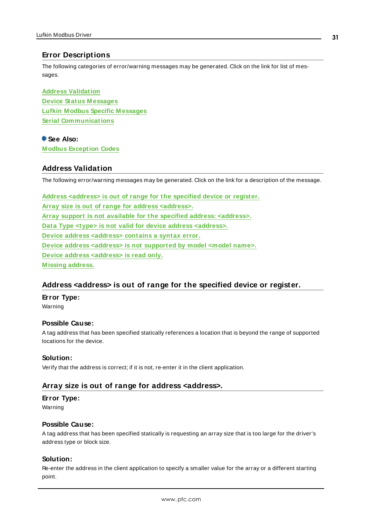# <span id="page-30-0"></span>**Error Descriptions**

The following categories of error/warning messages may be generated. Click on the link for list of messages.

**Address [Validation](#page-30-1) Device Status [M essages](#page-34-0) Lufkin M odbus Specific [M essages](#page-35-2) Serial [Communications](#page-32-1)**

# **See Also:**

<span id="page-30-1"></span>**[M odbus](#page-37-0) Exception Codes**

# **Address Validation**

The following error/warning messages may be generated. Click on the link for a description of the message.

**Address [<address>](#page-30-2) is out of range for the specified device or register. Array size is out of range for address [<address>.](#page-30-3) Array support is not available for the specified address: [<address>.](#page-31-0) Data Type <type> is not valid for device address [<address>.](#page-31-1) Device address [<address>](#page-31-2) contains a syntax error. Device address <address> is not [supported](#page-31-3) by model <model name>. Device address [<address>](#page-31-4) is read only. [M issing](#page-32-0) address.**

# <span id="page-30-2"></span>**Address <address> is out of range for the specified device or register.**

**Error Type:** Warning

#### **Possible Cause:**

A tag address that has been specified statically references a location that is beyond the range of supported locations for the device.

#### **Solution:**

<span id="page-30-3"></span>Verify that the address is correct; if it is not, re-enter it in the client application.

# **Array size is out of range for address <address>.**

#### **Error Type:**

Warning

#### **Possible Cause:**

A tag address that has been specified statically is requesting an array size that is too large for the driver's address type or block size.

#### **Solution:**

Re-enter the address in the client application to specify a smaller value for the array or a different starting point.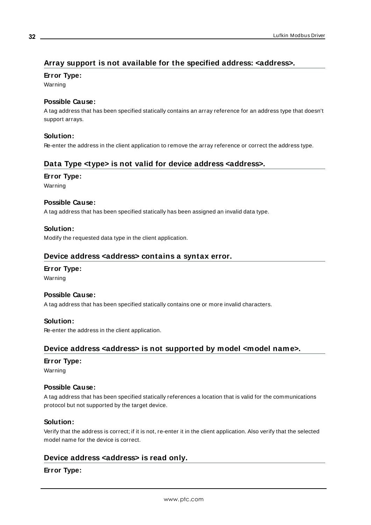# <span id="page-31-0"></span>**Array support is not available for the specified address: <address>.**

**Error Type:**

Warning

### **Possible Cause:**

A tag address that has been specified statically contains an array reference for an address type that doesn't support arrays.

# **Solution:**

<span id="page-31-1"></span>Re-enter the address in the client application to remove the array reference or correct the address type.

# **Data Type <type> is not valid for device address <address>.**

#### **Error Type:**

Warning

## **Possible Cause:**

A tag address that has been specified statically has been assigned an invalid data type.

## **Solution:**

<span id="page-31-2"></span>Modify the requested data type in the client application.

### **Device address <address> contains a syntax error.**

#### **Error Type:**

Warning

#### **Possible Cause:**

A tag address that has been specified statically contains one or more invalid characters.

#### **Solution:**

<span id="page-31-3"></span>Re-enter the address in the client application.

# **Device address <address> is not supported by model <model name>.**

#### **Error Type:**

Warning

#### **Possible Cause:**

A tag address that has been specified statically references a location that is valid for the communications protocol but not supported by the target device.

#### **Solution:**

Verify that the address is correct; if it is not, re-enter it in the client application. Also verify that the selected model name for the device is correct.

# <span id="page-31-4"></span>**Device address <address> is read only.**

# **Error Type:**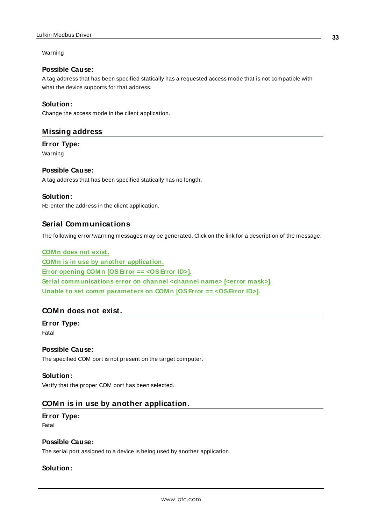#### Warning

### **Possible Cause:**

A tag address that has been specified statically has a requested access mode that is not compatible with what the device supports for that address.

### **Solution:**

<span id="page-32-0"></span>Change the access mode in the client application.

### **Missing address**

**Error Type:** Warning

#### **Possible Cause:**

A tag address that has been specified statically has no length.

#### **Solution:**

<span id="page-32-1"></span>Re-enter the address in the client application.

# **Serial Communications**

The following error/warning messages may be generated. Click on the link for a description of the message.

# **[COM n](#page-32-2) does not exist. COM n is in use by another [application.](#page-32-3) Error opening COM n [OSError == [<OSError](#page-33-0) ID>]. Serial [communications](#page-33-1) error on channel <channel name> [<error mask>]. Unable to set comm [parameters](#page-33-2) on COM n [OSError == <OSError ID>].**

# <span id="page-32-2"></span>**COMn does not exist.**

#### **Error Type:** Fatal

## **Possible Cause:**

The specified COM port is not present on the target computer.

#### **Solution:**

<span id="page-32-3"></span>Verify that the proper COM port has been selected.

# **COMn is in use by another application.**

#### **Error Type:**

Fatal

#### **Possible Cause:**

The serial port assigned to a device is being used by another application.

## **Solution:**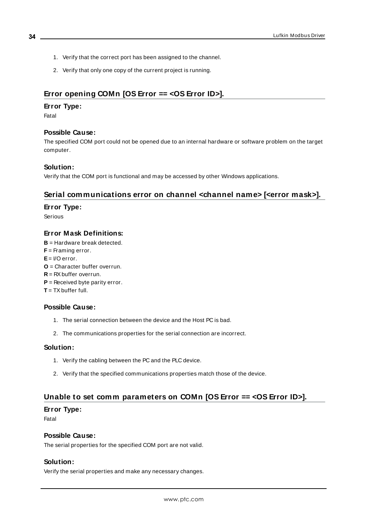- 1. Verify that the correct port has been assigned to the channel.
- 2. Verify that only one copy of the current project is running.

# <span id="page-33-0"></span>**Error opening COMn [OS Error == <OS Error ID>].**

#### **Error Type:**

Fatal

#### **Possible Cause:**

The specified COM port could not be opened due to an internal hardware or software problem on the target computer.

#### **Solution:**

<span id="page-33-1"></span>Verify that the COM port is functional and may be accessed by other Windows applications.

# **Serial communications error on channel <channel name> [<error mask>].**

### **Error Type:**

Serious

### **Error Mask Definitions:**

<span id="page-33-5"></span><span id="page-33-4"></span><span id="page-33-3"></span>**B** = Hardware break detected.  $F =$ Framing error.  $E = I/O$  error. **O** = Character buffer overrun. **R** = RXbuffer overrun. **P** = Received byte parity error. **T** = TXbuffer full.

#### **Possible Cause:**

- 1. The serial connection between the device and the Host PC is bad.
- 2. The communications properties for the serial connection are incorrect.

#### **Solution:**

- 1. Verify the cabling between the PC and the PLC device.
- 2. Verify that the specified communications properties match those of the device.

# <span id="page-33-2"></span>**Unable to set comm parameters on COMn [OS Error == <OS Error ID>].**

#### **Error Type:**

Fatal

#### **Possible Cause:**

The serial properties for the specified COM port are not valid.

#### **Solution:**

Verify the serial properties and make any necessary changes.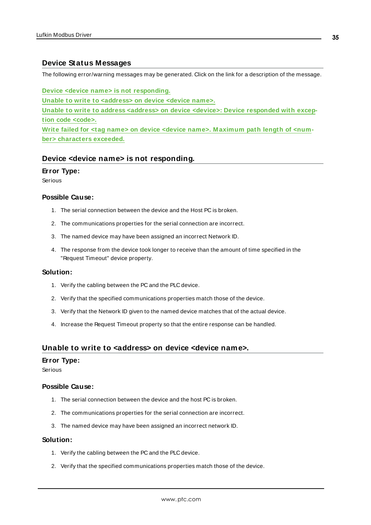# <span id="page-34-0"></span>**Device Status Messages**

The following error/warning messages may be generated. Click on the link for a description of the message.

**Device <device name> is not [responding.](#page-34-1)**

**Unable to write to [<address>](#page-34-2) on device <device name>.**

**Unable to write to address <address> on device <device>: Device [responded](#page-35-0) with exception code [<code>.](#page-35-0)**

**Write failed for <tag name> on device <device name>. [M aximum](#page-35-1) path length of <number> [characters](#page-35-1) exceeded.**

#### <span id="page-34-1"></span>**Device <device name> is not responding.**

#### **Error Type:**

Serious

#### **Possible Cause:**

- 1. The serial connection between the device and the Host PC is broken.
- 2. The communications properties for the serial connection are incorrect.
- 3. The named device may have been assigned an incorrect Network ID.
- 4. The response from the device took longer to receive than the amount of time specified in the "Request Timeout" device property.

#### **Solution:**

- 1. Verify the cabling between the PC and the PLC device.
- 2. Verify that the specified communications properties match those of the device.
- 3. Verify that the Network ID given to the named device matches that of the actual device.
- 4. Increase the Request Timeout property so that the entire response can be handled.

#### <span id="page-34-2"></span>**Unable to write to <address> on device <device name>.**

#### **Error Type:**

Serious

#### **Possible Cause:**

- 1. The serial connection between the device and the host PC is broken.
- 2. The communications properties for the serial connection are incorrect.
- 3. The named device may have been assigned an incorrect network ID.

#### **Solution:**

- 1. Verify the cabling between the PC and the PLC device.
- 2. Verify that the specified communications properties match those of the device.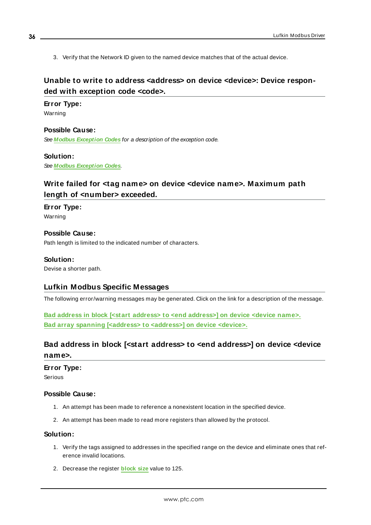3. Verify that the Network ID given to the named device matches that of the actual device.

# <span id="page-35-0"></span>Unable to write to address <address> on device <device>: Device respon**ded with exception code <code>.**

#### **Error Type:**

Warning

**Possible Cause:** See **Modbus [Exception](#page-37-0) Codes** for a description of the exception code.

#### **Solution:**

<span id="page-35-1"></span>See **Modbus [Exception](#page-37-0) Codes**.

# **Write failed for <tag name> on device <device name>. Maximum path length of <number> exceeded.**

**Error Type:** Warning

### **Possible Cause:** Path length is limited to the indicated number of characters.

#### **Solution:**

<span id="page-35-2"></span>Devise a shorter path.

# **Lufkin Modbus Specific Messages**

The following error/warning messages may be generated. Click on the link for a description of the message.

**Bad address in block [<start address> to <end [address>\]](#page-35-3) on device <device name>.** Bad array spanning [<address> to [<address>\]](#page-36-0) on device <device>.

# <span id="page-35-3"></span>**Bad address in block [<start address> to <end address>] on device <device name>.**

#### **Error Type:**

Serious

#### **Possible Cause:**

- 1. An attempt has been made to reference a nonexistent location in the specified device.
- 2. An attempt has been made to read more registers than allowed by the protocol.

#### **Solution:**

- 1. Verify the tags assigned to addresses in the specified range on the device and eliminate ones that reference invalid locations.
- 2. Decrease the register **[block](#page-18-1) size** value to 125.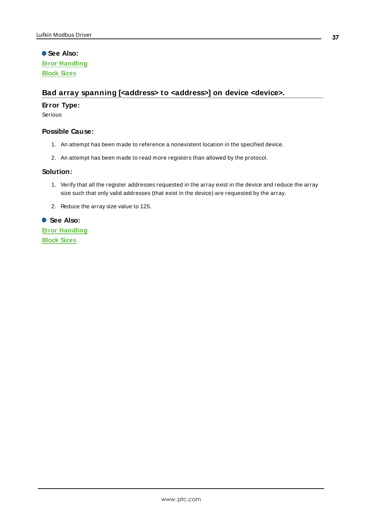**See Also: Error [Handling](#page-21-0) [Block](#page-18-1) Sizes**

# <span id="page-36-0"></span>**Bad array spanning [<address> to <address>] on device <device>.**

### **Error Type:**

Serious

### **Possible Cause:**

- 1. An attempt has been made to reference a nonexistent location in the specified device.
- 2. An attempt has been made to read more registers than allowed by the protocol.

#### **Solution:**

- 1. Verify that all the register addresses requested in the array exist in the device and reduce the array size such that only valid addresses (that exist in the device) are requested by the array.
- 2. Reduce the array size value to 125.

### **See Also:**

**Error [Handling](#page-21-0) [Block](#page-18-1) Sizes**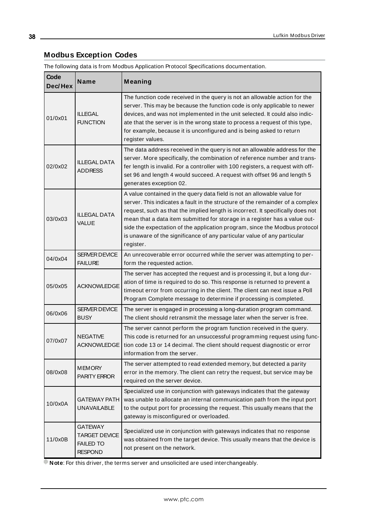# <span id="page-37-0"></span>**Modbus Exception Codes**

The following data is from Modbus Application Protocol Specifications documentation.

| Code<br>Dec/Hex | <b>Name</b>                                                                  | Meaning                                                                                                                                                                                                                                                                                                                                                                                                                                                                                          |
|-----------------|------------------------------------------------------------------------------|--------------------------------------------------------------------------------------------------------------------------------------------------------------------------------------------------------------------------------------------------------------------------------------------------------------------------------------------------------------------------------------------------------------------------------------------------------------------------------------------------|
| 01/0x01         | <b>ILLEGAL</b><br><b>FUNCTION</b>                                            | The function code received in the query is not an allowable action for the<br>server. This may be because the function code is only applicable to newer<br>devices, and was not implemented in the unit selected. It could also indic-<br>ate that the server is in the wrong state to process a request of this type,<br>for example, because it is unconfigured and is being asked to return<br>register values.                                                                               |
| 02/0x02         | <b>ILLEGAL DATA</b><br><b>ADDRESS</b>                                        | The data address received in the query is not an allowable address for the<br>server. More specifically, the combination of reference number and trans-<br>fer length is invalid. For a controller with 100 registers, a request with off-<br>set 96 and length 4 would succeed. A request with offset 96 and length 5<br>generates exception 02.                                                                                                                                                |
| 03/0x03         | <b>ILLEGAL DATA</b><br><b>VALUE</b>                                          | A value contained in the query data field is not an allowable value for<br>server. This indicates a fault in the structure of the remainder of a complex<br>request, such as that the implied length is incorrect. It specifically does not<br>mean that a data item submitted for storage in a register has a value out-<br>side the expectation of the application program, since the Modbus protocol<br>is unaware of the significance of any particular value of any particular<br>register. |
| 04/0x04         | SERVER DEVICE<br><b>FAILURE</b>                                              | An unrecoverable error occurred while the server was attempting to per-<br>form the requested action.                                                                                                                                                                                                                                                                                                                                                                                            |
| 05/0x05         | <b>ACKNOWLEDGE</b>                                                           | The server has accepted the request and is processing it, but a long dur-<br>ation of time is required to do so. This response is returned to prevent a<br>timeout error from occurring in the client. The client can next issue a Poll<br>Program Complete message to determine if processing is completed.                                                                                                                                                                                     |
| 06/0x06         | <b>SERVER DEVICE</b><br><b>BUSY</b>                                          | The server is engaged in processing a long-duration program command.<br>The client should retransmit the message later when the server is free.                                                                                                                                                                                                                                                                                                                                                  |
| 07/0x07         | <b>NEGATIVE</b><br><b>ACKNOWLEDGE</b>                                        | The server cannot perform the program function received in the query.<br>This code is returned for an unsuccessful programming request using func-<br>tion code 13 or 14 decimal. The client should request diagnostic or error<br>information from the server.                                                                                                                                                                                                                                  |
| 08/0x08         | <b>MEMORY</b><br>PARITY ERROR                                                | The server attempted to read extended memory, but detected a parity<br>error in the memory. The client can retry the request, but service may be<br>required on the server device.                                                                                                                                                                                                                                                                                                               |
| 10/0x0A         | <b>GATEWAY PATH</b><br><b>UNAVAILABLE</b>                                    | Specialized use in conjunction with gateways indicates that the gateway<br>was unable to allocate an internal communication path from the input port<br>to the output port for processing the request. This usually means that the<br>gateway is misconfigured or overloaded.                                                                                                                                                                                                                    |
| 11/0x0B         | <b>GATEWAY</b><br><b>TARGET DEVICE</b><br><b>FAILED TO</b><br><b>RESPOND</b> | Specialized use in conjunction with gateways indicates that no response<br>was obtained from the target device. This usually means that the device is<br>not present on the network.                                                                                                                                                                                                                                                                                                             |

**Note:** For this driver, the terms server and unsolicited are used interchangeably.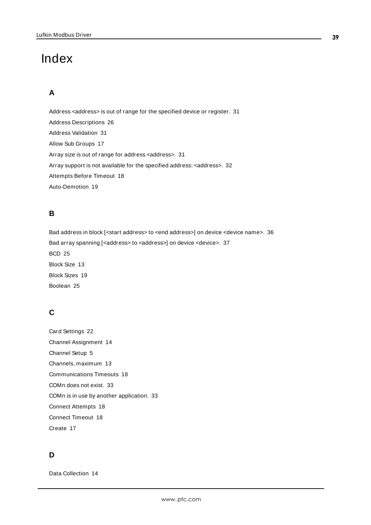# <span id="page-38-0"></span>Index

# **A**

Address <address> is out of range for the specified device or register. [31](#page-30-2) Address Descriptions [26](#page-25-0) Address Validation [31](#page-30-1) Allow Sub Groups [17](#page-16-0) Array size is out of range for address <address>. [31](#page-30-3) Array support is not available for the specified address: <address>. [32](#page-31-0) Attempts Before Timeout [18](#page-17-1) Auto-Demotion [19](#page-18-0)

# **B**

Bad address in block [<start address> to <end address>] on device <device name>. [36](#page-35-3) Bad array spanning [<address> to <address>] on device <device>. [37](#page-36-0) BCD [25](#page-24-1) Block Size [13](#page-12-0) Block Sizes [19](#page-18-1) Boolean [25](#page-24-2)

# **C**

Card Settings [22](#page-21-1) Channel Assignment [14](#page-13-1) Channel Setup [5](#page-4-0) Channels, maximum [13](#page-12-0) Communications Timeouts [18](#page-17-0) COMn does not exist. [33](#page-32-2) COMn is in use by another application. [33](#page-32-3) Connect Attempts [18](#page-17-2) Connect Timeout [18](#page-17-3) Create [17](#page-16-1)

# **D**

Data Collection [14](#page-13-2)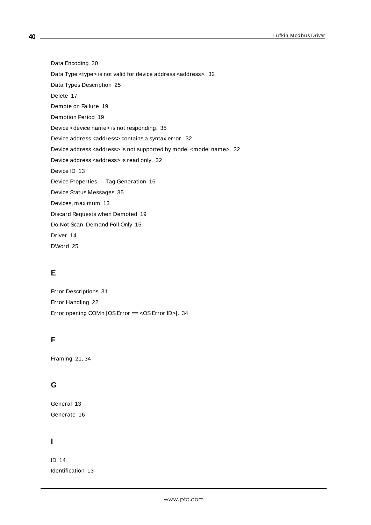Data Encoding [20](#page-19-0) Data Type <type> is not valid for device address <address>. [32](#page-31-1) Data Types Description [25](#page-24-0) Delete [17](#page-16-2) Demote on Failure [19](#page-18-2) Demotion Period [19](#page-18-3) Device <device name> is not responding. [35](#page-34-1) Device address <address> contains a syntax error. [32](#page-31-2) Device address <address> is not supported by model <model name>. [32](#page-31-3) Device address <address> is read only. [32](#page-31-4) Device ID [13](#page-12-2) Device Properties — Tag Generation [16](#page-15-0) Device Status Messages [35](#page-34-0) Devices, maximum [13](#page-12-0) Discard Requests when Demoted [19](#page-18-4) Do Not Scan, Demand Poll Only [15](#page-14-1) Driver [14](#page-13-3)

DWord [25](#page-24-3)

# **E**

Error Descriptions [31](#page-30-0) Error Handling [22](#page-21-0) Error opening COMn [OS Error == < OS Error ID>]. [34](#page-33-0)

# **F**

Framing [21](#page-20-0), [34](#page-33-3)

# **G**

General [13](#page-12-1) Generate [16](#page-15-1)

# **I**

ID [14](#page-13-4) Identification [13](#page-12-1)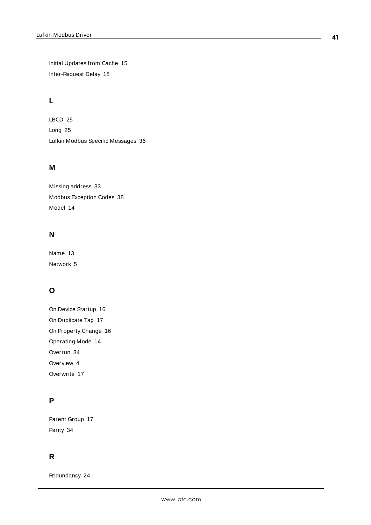Initial Updates from Cache [15](#page-14-2) Inter-Request Delay [18](#page-17-4)

# **L**

LBCD [25](#page-24-4) Long [25](#page-24-5) Lufkin Modbus Specific Messages [36](#page-35-2)

# **M**

Missing address [33](#page-32-0) Modbus Exception Codes [38](#page-37-0) Model [14](#page-13-5)

# **N**

Name [13](#page-12-3) Network [5](#page-4-1)

# **O**

On Device Startup [16](#page-15-2) On Duplicate Tag [17](#page-16-3) On Property Change [16](#page-15-3) Operating Mode [14](#page-13-0) Overrun [34](#page-33-4) Overview [4](#page-3-1) Overwrite [17](#page-16-4)

# **P**

Parent Group [17](#page-16-5) Parity [34](#page-33-5)

# **R**

Redundancy [24](#page-23-0)